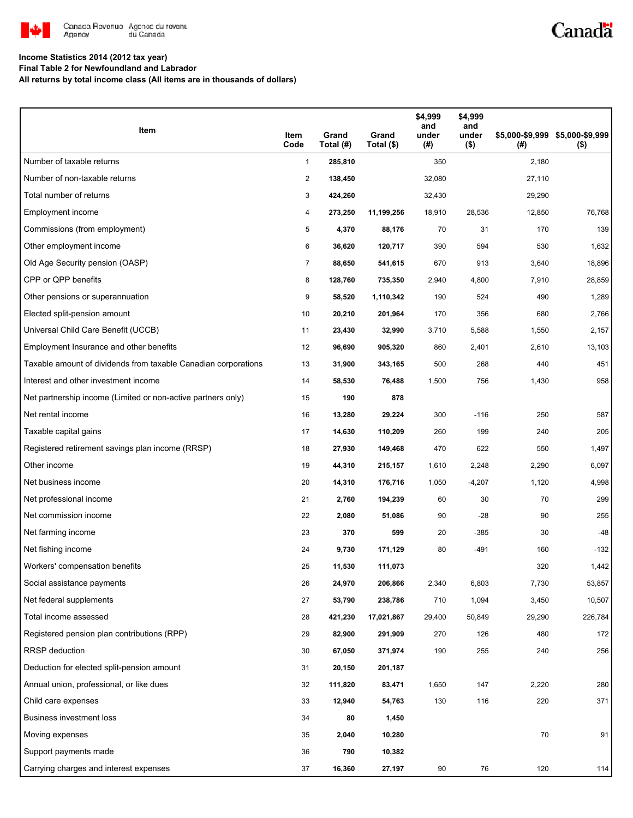

## Canadä

### **Income Statistics 2014 (2012 tax year)**

**Final Table 2 for Newfoundland and Labrador**

**All returns by total income class (All items are in thousands of dollars)**

| Item                                                           | Item<br>Code   | Grand<br>Total (#) | Grand<br>Total (\$) | \$4,999<br>and<br>under<br>(#) | \$4,999<br>and<br>under<br>$($ \$) | (#)    | \$5,000-\$9,999 \$5,000-\$9,999<br>$($ \$) |
|----------------------------------------------------------------|----------------|--------------------|---------------------|--------------------------------|------------------------------------|--------|--------------------------------------------|
| Number of taxable returns                                      | $\mathbf{1}$   | 285,810            |                     | 350                            |                                    | 2,180  |                                            |
| Number of non-taxable returns                                  | $\overline{2}$ | 138,450            |                     | 32,080                         |                                    | 27,110 |                                            |
| Total number of returns                                        | 3              | 424,260            |                     | 32,430                         |                                    | 29,290 |                                            |
| Employment income                                              | 4              | 273,250            | 11,199,256          | 18,910                         | 28,536                             | 12,850 | 76,768                                     |
| Commissions (from employment)                                  | 5              | 4,370              | 88,176              | 70                             | 31                                 | 170    | 139                                        |
| Other employment income                                        | 6              | 36,620             | 120,717             | 390                            | 594                                | 530    | 1,632                                      |
| Old Age Security pension (OASP)                                | 7              | 88,650             | 541,615             | 670                            | 913                                | 3,640  | 18,896                                     |
| CPP or QPP benefits                                            | 8              | 128,760            | 735,350             | 2,940                          | 4,800                              | 7,910  | 28,859                                     |
| Other pensions or superannuation                               | 9              | 58,520             | 1,110,342           | 190                            | 524                                | 490    | 1,289                                      |
| Elected split-pension amount                                   | 10             | 20,210             | 201,964             | 170                            | 356                                | 680    | 2,766                                      |
| Universal Child Care Benefit (UCCB)                            | 11             | 23,430             | 32,990              | 3,710                          | 5,588                              | 1,550  | 2,157                                      |
| Employment Insurance and other benefits                        | 12             | 96,690             | 905,320             | 860                            | 2,401                              | 2,610  | 13,103                                     |
| Taxable amount of dividends from taxable Canadian corporations | 13             | 31,900             | 343,165             | 500                            | 268                                | 440    | 451                                        |
| Interest and other investment income                           | 14             | 58,530             | 76,488              | 1,500                          | 756                                | 1,430  | 958                                        |
| Net partnership income (Limited or non-active partners only)   | 15             | 190                | 878                 |                                |                                    |        |                                            |
| Net rental income                                              | 16             | 13,280             | 29,224              | 300                            | $-116$                             | 250    | 587                                        |
| Taxable capital gains                                          | 17             | 14,630             | 110,209             | 260                            | 199                                | 240    | 205                                        |
| Registered retirement savings plan income (RRSP)               | 18             | 27,930             | 149,468             | 470                            | 622                                | 550    | 1,497                                      |
| Other income                                                   | 19             | 44,310             | 215,157             | 1,610                          | 2,248                              | 2,290  | 6,097                                      |
| Net business income                                            | 20             | 14,310             | 176,716             | 1,050                          | $-4,207$                           | 1,120  | 4,998                                      |
| Net professional income                                        | 21             | 2,760              | 194,239             | 60                             | 30                                 | 70     | 299                                        |
| Net commission income                                          | 22             | 2,080              | 51,086              | 90                             | $-28$                              | 90     | 255                                        |
| Net farming income                                             | 23             | 370                | 599                 | 20                             | $-385$                             | 30     | -48                                        |
| Net fishing income                                             | 24             | 9,730              | 171,129             | 80                             | -491                               | 160    | $-132$                                     |
| Workers' compensation benefits                                 | 25             | 11,530             | 111,073             |                                |                                    | 320    | 1,442                                      |
| Social assistance payments                                     | 26             | 24,970             | 206,866             | 2,340                          | 6,803                              | 7,730  | 53,857                                     |
| Net federal supplements                                        | 27             | 53,790             | 238,786             | 710                            | 1,094                              | 3,450  | 10,507                                     |
| Total income assessed                                          | 28             | 421,230            | 17,021,867          | 29,400                         | 50,849                             | 29,290 | 226,784                                    |
| Registered pension plan contributions (RPP)                    | 29             | 82,900             | 291,909             | 270                            | 126                                | 480    | 172                                        |
| RRSP deduction                                                 | 30             | 67,050             | 371,974             | 190                            | 255                                | 240    | 256                                        |
| Deduction for elected split-pension amount                     | 31             | 20,150             | 201,187             |                                |                                    |        |                                            |
| Annual union, professional, or like dues                       | 32             | 111,820            | 83,471              | 1,650                          | 147                                | 2,220  | 280                                        |
| Child care expenses                                            | 33             | 12,940             | 54,763              | 130                            | 116                                | 220    | 371                                        |
| Business investment loss                                       | 34             | 80                 | 1,450               |                                |                                    |        |                                            |
| Moving expenses                                                | 35             | 2,040              | 10,280              |                                |                                    | 70     | 91                                         |
| Support payments made                                          | 36             | 790                | 10,382              |                                |                                    |        |                                            |
| Carrying charges and interest expenses                         | 37             | 16,360             | 27,197              | 90                             | 76                                 | 120    | 114                                        |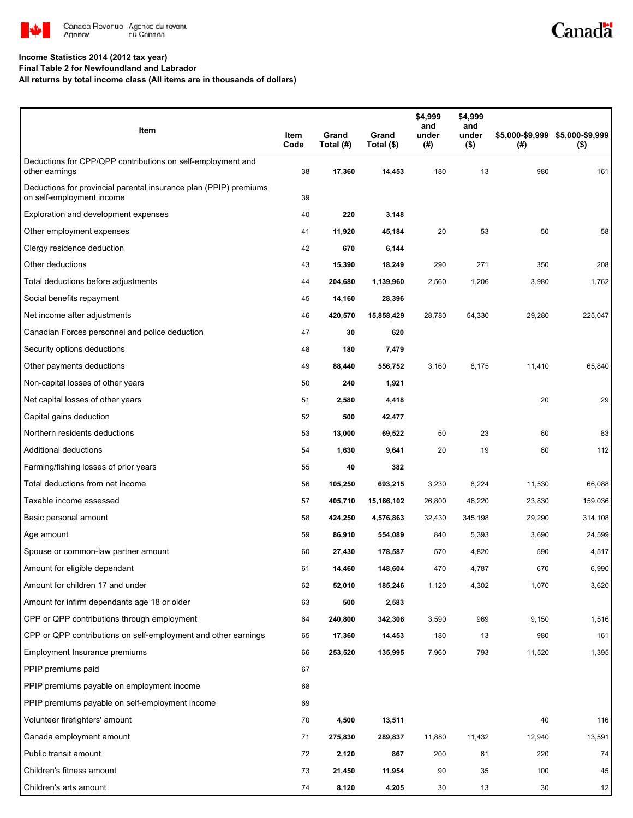

# Canadä

### **Income Statistics 2014 (2012 tax year)**

**Final Table 2 for Newfoundland and Labrador**

**All returns by total income class (All items are in thousands of dollars)**

| Item                                                                                           | Item<br>Code | Grand<br>Total (#) | Grand<br>Total (\$) | \$4,999<br>and<br>under<br>(# ) | \$4,999<br>and<br>under<br>$($ \$) | (# )   | \$5,000-\$9,999 \$5,000-\$9,999<br>$($ \$) |
|------------------------------------------------------------------------------------------------|--------------|--------------------|---------------------|---------------------------------|------------------------------------|--------|--------------------------------------------|
| Deductions for CPP/QPP contributions on self-employment and<br>other earnings                  | 38           | 17,360             | 14,453              | 180                             | 13                                 | 980    | 161                                        |
| Deductions for provincial parental insurance plan (PPIP) premiums<br>on self-employment income | 39           |                    |                     |                                 |                                    |        |                                            |
| Exploration and development expenses                                                           | 40           | 220                | 3,148               |                                 |                                    |        |                                            |
| Other employment expenses                                                                      | 41           | 11,920             | 45,184              | 20                              | 53                                 | 50     | 58                                         |
| Clergy residence deduction                                                                     | 42           | 670                | 6,144               |                                 |                                    |        |                                            |
| Other deductions                                                                               | 43           | 15,390             | 18,249              | 290                             | 271                                | 350    | 208                                        |
| Total deductions before adjustments                                                            | 44           | 204,680            | 1,139,960           | 2,560                           | 1,206                              | 3,980  | 1,762                                      |
| Social benefits repayment                                                                      | 45           | 14,160             | 28,396              |                                 |                                    |        |                                            |
| Net income after adjustments                                                                   | 46           | 420,570            | 15,858,429          | 28,780                          | 54,330                             | 29,280 | 225,047                                    |
| Canadian Forces personnel and police deduction                                                 | 47           | 30                 | 620                 |                                 |                                    |        |                                            |
| Security options deductions                                                                    | 48           | 180                | 7,479               |                                 |                                    |        |                                            |
| Other payments deductions                                                                      | 49           | 88,440             | 556,752             | 3,160                           | 8,175                              | 11,410 | 65,840                                     |
| Non-capital losses of other years                                                              | 50           | 240                | 1,921               |                                 |                                    |        |                                            |
| Net capital losses of other years                                                              | 51           | 2,580              | 4,418               |                                 |                                    | 20     | 29                                         |
| Capital gains deduction                                                                        | 52           | 500                | 42,477              |                                 |                                    |        |                                            |
| Northern residents deductions                                                                  | 53           | 13,000             | 69,522              | 50                              | 23                                 | 60     | 83                                         |
| Additional deductions                                                                          | 54           | 1,630              | 9,641               | 20                              | 19                                 | 60     | 112                                        |
| Farming/fishing losses of prior years                                                          | 55           | 40                 | 382                 |                                 |                                    |        |                                            |
| Total deductions from net income                                                               | 56           | 105,250            | 693,215             | 3,230                           | 8,224                              | 11,530 | 66,088                                     |
| Taxable income assessed                                                                        | 57           | 405,710            | 15,166,102          | 26,800                          | 46,220                             | 23,830 | 159,036                                    |
| Basic personal amount                                                                          | 58           | 424,250            | 4,576,863           | 32,430                          | 345,198                            | 29,290 | 314,108                                    |
| Age amount                                                                                     | 59           | 86,910             | 554,089             | 840                             | 5,393                              | 3,690  | 24,599                                     |
| Spouse or common-law partner amount                                                            | 60           | 27,430             | 178,587             | 570                             | 4,820                              | 590    | 4,517                                      |
| Amount for eligible dependant                                                                  | 61           | 14,460             | 148,604             | 470                             | 4,787                              | 670    | 6,990                                      |
| Amount for children 17 and under                                                               | 62           | 52,010             | 185,246             | 1,120                           | 4,302                              | 1,070  | 3,620                                      |
| Amount for infirm dependants age 18 or older                                                   | 63           | 500                | 2,583               |                                 |                                    |        |                                            |
| CPP or QPP contributions through employment                                                    | 64           | 240,800            | 342,306             | 3,590                           | 969                                | 9,150  | 1,516                                      |
| CPP or QPP contributions on self-employment and other earnings                                 | 65           | 17,360             | 14,453              | 180                             | 13                                 | 980    | 161                                        |
| Employment Insurance premiums                                                                  | 66           | 253,520            | 135,995             | 7,960                           | 793                                | 11,520 | 1,395                                      |
| PPIP premiums paid                                                                             | 67           |                    |                     |                                 |                                    |        |                                            |
| PPIP premiums payable on employment income                                                     | 68           |                    |                     |                                 |                                    |        |                                            |
| PPIP premiums payable on self-employment income                                                | 69           |                    |                     |                                 |                                    |        |                                            |
| Volunteer firefighters' amount                                                                 | 70           | 4,500              | 13,511              |                                 |                                    | 40     | 116                                        |
| Canada employment amount                                                                       | 71           | 275,830            | 289,837             | 11,880                          | 11,432                             | 12,940 | 13,591                                     |
| Public transit amount                                                                          | 72           | 2,120              | 867                 | 200                             | 61                                 | 220    | 74                                         |
| Children's fitness amount                                                                      | 73           | 21,450             | 11,954              | 90                              | 35                                 | 100    | 45                                         |
| Children's arts amount                                                                         | 74           | 8,120              | 4,205               | 30                              | 13                                 | 30     | 12                                         |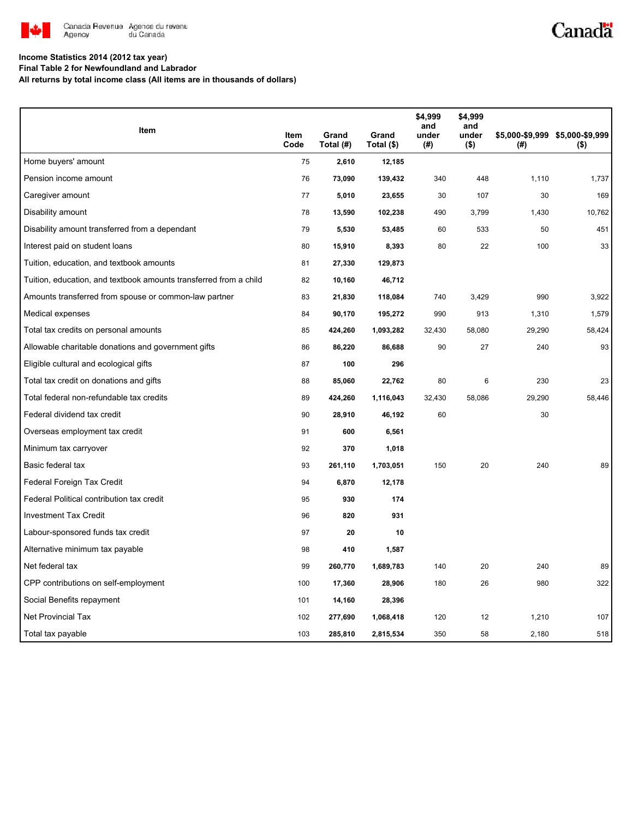

## Canadä

#### **Income Statistics 2014 (2012 tax year)**

**Final Table 2 for Newfoundland and Labrador**

**All returns by total income class (All items are in thousands of dollars)**

| Item                                                              |              |                    |                     | \$4,999<br>and | \$4,999<br>and   |        |                                            |
|-------------------------------------------------------------------|--------------|--------------------|---------------------|----------------|------------------|--------|--------------------------------------------|
|                                                                   | Item<br>Code | Grand<br>Total (#) | Grand<br>Total (\$) | under<br>(#)   | under<br>$($ \$) | (#)    | \$5,000-\$9,999 \$5,000-\$9,999<br>$($ \$) |
| Home buyers' amount                                               | 75           | 2,610              | 12,185              |                |                  |        |                                            |
| Pension income amount                                             | 76           | 73,090             | 139,432             | 340            | 448              | 1,110  | 1,737                                      |
| Caregiver amount                                                  | 77           | 5,010              | 23,655              | 30             | 107              | 30     | 169                                        |
| Disability amount                                                 | 78           | 13,590             | 102,238             | 490            | 3,799            | 1,430  | 10.762                                     |
| Disability amount transferred from a dependant                    | 79           | 5,530              | 53,485              | 60             | 533              | 50     | 451                                        |
| Interest paid on student loans                                    | 80           | 15,910             | 8,393               | 80             | 22               | 100    | 33                                         |
| Tuition, education, and textbook amounts                          | 81           | 27,330             | 129,873             |                |                  |        |                                            |
| Tuition, education, and textbook amounts transferred from a child | 82           | 10,160             | 46,712              |                |                  |        |                                            |
| Amounts transferred from spouse or common-law partner             | 83           | 21,830             | 118,084             | 740            | 3,429            | 990    | 3,922                                      |
| Medical expenses                                                  | 84           | 90,170             | 195,272             | 990            | 913              | 1,310  | 1,579                                      |
| Total tax credits on personal amounts                             | 85           | 424,260            | 1,093,282           | 32,430         | 58,080           | 29,290 | 58,424                                     |
| Allowable charitable donations and government gifts               | 86           | 86,220             | 86,688              | 90             | 27               | 240    | 93                                         |
| Eligible cultural and ecological gifts                            | 87           | 100                | 296                 |                |                  |        |                                            |
| Total tax credit on donations and gifts                           | 88           | 85,060             | 22,762              | 80             | 6                | 230    | 23                                         |
| Total federal non-refundable tax credits                          | 89           | 424,260            | 1,116,043           | 32,430         | 58,086           | 29,290 | 58,446                                     |
| Federal dividend tax credit                                       | 90           | 28,910             | 46,192              | 60             |                  | 30     |                                            |
| Overseas employment tax credit                                    | 91           | 600                | 6,561               |                |                  |        |                                            |
| Minimum tax carryover                                             | 92           | 370                | 1,018               |                |                  |        |                                            |
| Basic federal tax                                                 | 93           | 261,110            | 1,703,051           | 150            | 20               | 240    | 89                                         |
| Federal Foreign Tax Credit                                        | 94           | 6,870              | 12,178              |                |                  |        |                                            |
| Federal Political contribution tax credit                         | 95           | 930                | 174                 |                |                  |        |                                            |
| <b>Investment Tax Credit</b>                                      | 96           | 820                | 931                 |                |                  |        |                                            |
| Labour-sponsored funds tax credit                                 | 97           | 20                 | 10                  |                |                  |        |                                            |
| Alternative minimum tax payable                                   | 98           | 410                | 1,587               |                |                  |        |                                            |
| Net federal tax                                                   | 99           | 260,770            | 1,689,783           | 140            | 20               | 240    | 89                                         |
| CPP contributions on self-employment                              | 100          | 17,360             | 28,906              | 180            | 26               | 980    | 322                                        |
| Social Benefits repayment                                         | 101          | 14,160             | 28,396              |                |                  |        |                                            |
| Net Provincial Tax                                                | 102          | 277,690            | 1,068,418           | 120            | 12               | 1,210  | 107                                        |
| Total tax payable                                                 | 103          | 285,810            | 2,815,534           | 350            | 58               | 2,180  | 518                                        |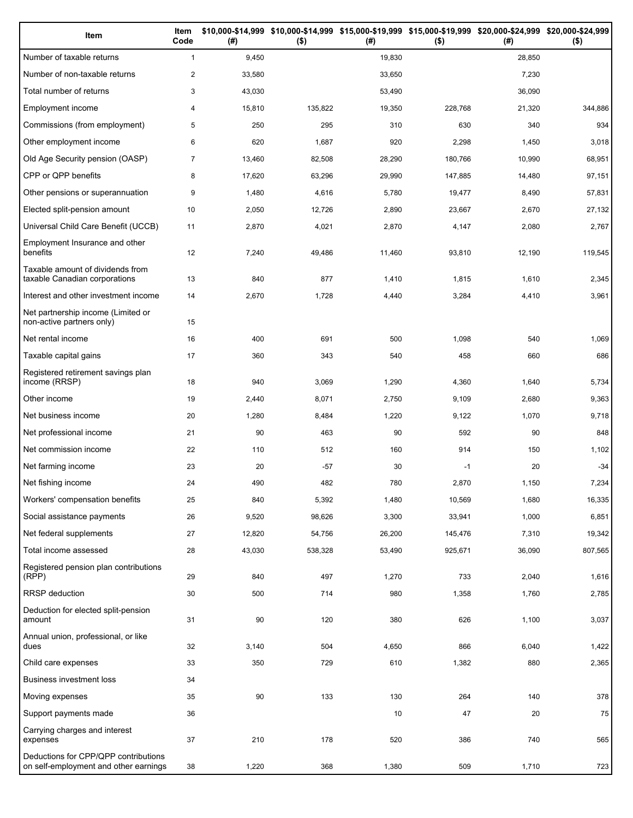| Item                                                                          | Item<br>Code   | (#)    | $($ \$) | (#)    | \$10,000-\$14,999 \$10,000-\$14,999 \$15,000-\$19,999 \$15,000-\$19,999 \$20,000-\$24,999 \$20,000-\$24,999<br>$($ \$) | (#)    | $($ \$) |
|-------------------------------------------------------------------------------|----------------|--------|---------|--------|------------------------------------------------------------------------------------------------------------------------|--------|---------|
| Number of taxable returns                                                     | $\mathbf{1}$   | 9,450  |         | 19,830 |                                                                                                                        | 28,850 |         |
| Number of non-taxable returns                                                 | $\overline{2}$ | 33,580 |         | 33,650 |                                                                                                                        | 7,230  |         |
| Total number of returns                                                       | 3              | 43,030 |         | 53,490 |                                                                                                                        | 36,090 |         |
| Employment income                                                             | 4              | 15,810 | 135,822 | 19,350 | 228,768                                                                                                                | 21,320 | 344,886 |
| Commissions (from employment)                                                 | 5              | 250    | 295     | 310    | 630                                                                                                                    | 340    | 934     |
| Other employment income                                                       | 6              | 620    | 1,687   | 920    | 2,298                                                                                                                  | 1,450  | 3,018   |
| Old Age Security pension (OASP)                                               | $\overline{7}$ | 13,460 | 82,508  | 28,290 | 180,766                                                                                                                | 10,990 | 68,951  |
| CPP or QPP benefits                                                           | 8              | 17,620 | 63,296  | 29,990 | 147,885                                                                                                                | 14,480 | 97,151  |
| Other pensions or superannuation                                              | 9              | 1,480  | 4,616   | 5,780  | 19,477                                                                                                                 | 8,490  | 57,831  |
| Elected split-pension amount                                                  | 10             | 2,050  | 12,726  | 2,890  | 23,667                                                                                                                 | 2,670  | 27,132  |
| Universal Child Care Benefit (UCCB)                                           | 11             | 2,870  | 4,021   | 2,870  | 4,147                                                                                                                  | 2,080  | 2,767   |
| Employment Insurance and other<br>benefits                                    | 12             | 7,240  | 49,486  | 11,460 | 93,810                                                                                                                 | 12,190 | 119,545 |
| Taxable amount of dividends from<br>taxable Canadian corporations             | 13             | 840    | 877     | 1,410  | 1,815                                                                                                                  | 1,610  | 2,345   |
| Interest and other investment income                                          | 14             | 2,670  | 1,728   | 4,440  | 3,284                                                                                                                  | 4,410  | 3,961   |
| Net partnership income (Limited or<br>non-active partners only)               | 15             |        |         |        |                                                                                                                        |        |         |
| Net rental income                                                             | 16             | 400    | 691     | 500    | 1,098                                                                                                                  | 540    | 1,069   |
| Taxable capital gains                                                         | 17             | 360    | 343     | 540    | 458                                                                                                                    | 660    | 686     |
| Registered retirement savings plan<br>income (RRSP)                           | 18             | 940    | 3,069   | 1,290  | 4,360                                                                                                                  | 1,640  | 5,734   |
| Other income                                                                  | 19             | 2,440  | 8,071   | 2,750  | 9,109                                                                                                                  | 2,680  | 9,363   |
| Net business income                                                           | 20             | 1,280  | 8,484   | 1,220  | 9,122                                                                                                                  | 1,070  | 9,718   |
| Net professional income                                                       | 21             | 90     | 463     | 90     | 592                                                                                                                    | 90     | 848     |
| Net commission income                                                         | 22             | 110    | 512     | 160    | 914                                                                                                                    | 150    | 1,102   |
| Net farming income                                                            | 23             | 20     | -57     | 30     | $-1$                                                                                                                   | 20     | $-34$   |
| Net fishing income                                                            | 24             | 490    | 482     | 780    | 2,870                                                                                                                  | 1,150  | 7,234   |
| Workers' compensation benefits                                                | 25             | 840    | 5,392   | 1,480  | 10,569                                                                                                                 | 1,680  | 16,335  |
| Social assistance payments                                                    | 26             | 9,520  | 98,626  | 3,300  | 33,941                                                                                                                 | 1,000  | 6,851   |
| Net federal supplements                                                       | 27             | 12,820 | 54,756  | 26,200 | 145,476                                                                                                                | 7,310  | 19,342  |
| Total income assessed                                                         | 28             | 43,030 | 538,328 | 53,490 | 925,671                                                                                                                | 36,090 | 807,565 |
| Registered pension plan contributions<br>(RPP)                                | 29             | 840    | 497     | 1,270  | 733                                                                                                                    | 2,040  | 1,616   |
| RRSP deduction                                                                | 30             | 500    | 714     | 980    | 1,358                                                                                                                  | 1,760  | 2,785   |
| Deduction for elected split-pension<br>amount                                 | 31             | 90     | 120     | 380    | 626                                                                                                                    | 1,100  | 3,037   |
| Annual union, professional, or like<br>dues                                   | 32             | 3,140  | 504     | 4,650  | 866                                                                                                                    | 6,040  | 1,422   |
| Child care expenses                                                           | 33             | 350    | 729     | 610    | 1,382                                                                                                                  | 880    | 2,365   |
| Business investment loss                                                      | 34             |        |         |        |                                                                                                                        |        |         |
| Moving expenses                                                               | 35             | 90     | 133     | 130    | 264                                                                                                                    | 140    | 378     |
| Support payments made                                                         | 36             |        |         | 10     | 47                                                                                                                     | 20     | 75      |
| Carrying charges and interest<br>expenses                                     | 37             | 210    | 178     | 520    | 386                                                                                                                    | 740    | 565     |
| Deductions for CPP/QPP contributions<br>on self-employment and other earnings | 38             | 1,220  | 368     | 1,380  | 509                                                                                                                    | 1,710  | 723     |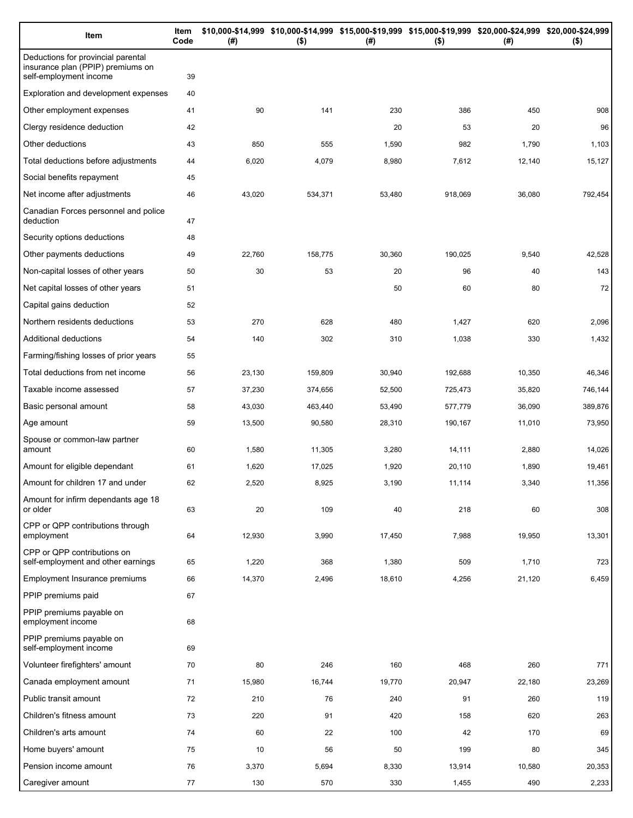| Item                                                                                              | Item<br>Code | (# )   | \$10,000-\$14,999 \$10,000-\$14,999 \$15,000-\$19,999 \$15,000-\$19,999 \$20,000-\$24,999 \$20,000-\$24,999<br>$($ \$) | (#)    | $($ \$) | (# )   | $($ \$) |
|---------------------------------------------------------------------------------------------------|--------------|--------|------------------------------------------------------------------------------------------------------------------------|--------|---------|--------|---------|
| Deductions for provincial parental<br>insurance plan (PPIP) premiums on<br>self-employment income | 39           |        |                                                                                                                        |        |         |        |         |
| Exploration and development expenses                                                              | 40           |        |                                                                                                                        |        |         |        |         |
| Other employment expenses                                                                         | 41           | 90     | 141                                                                                                                    | 230    | 386     | 450    | 908     |
| Clergy residence deduction                                                                        | 42           |        |                                                                                                                        | 20     | 53      | 20     | 96      |
| Other deductions                                                                                  | 43           | 850    | 555                                                                                                                    | 1,590  | 982     | 1,790  | 1,103   |
| Total deductions before adjustments                                                               | 44           | 6,020  | 4,079                                                                                                                  | 8,980  | 7,612   | 12,140 | 15,127  |
| Social benefits repayment                                                                         | 45           |        |                                                                                                                        |        |         |        |         |
| Net income after adjustments                                                                      | 46           | 43,020 | 534,371                                                                                                                | 53,480 | 918,069 | 36,080 | 792,454 |
| Canadian Forces personnel and police<br>deduction                                                 | 47           |        |                                                                                                                        |        |         |        |         |
| Security options deductions                                                                       | 48           |        |                                                                                                                        |        |         |        |         |
| Other payments deductions                                                                         | 49           | 22,760 | 158,775                                                                                                                | 30,360 | 190,025 | 9,540  | 42,528  |
| Non-capital losses of other years                                                                 | 50           | 30     | 53                                                                                                                     | 20     | 96      | 40     | 143     |
| Net capital losses of other years                                                                 | 51           |        |                                                                                                                        | 50     | 60      | 80     | 72      |
| Capital gains deduction                                                                           | 52           |        |                                                                                                                        |        |         |        |         |
| Northern residents deductions                                                                     | 53           | 270    | 628                                                                                                                    | 480    | 1,427   | 620    | 2,096   |
| Additional deductions                                                                             | 54           | 140    | 302                                                                                                                    | 310    | 1,038   | 330    | 1,432   |
| Farming/fishing losses of prior years                                                             | 55           |        |                                                                                                                        |        |         |        |         |
| Total deductions from net income                                                                  | 56           | 23,130 | 159,809                                                                                                                | 30,940 | 192,688 | 10,350 | 46,346  |
| Taxable income assessed                                                                           | 57           | 37,230 | 374,656                                                                                                                | 52,500 | 725,473 | 35,820 | 746,144 |
| Basic personal amount                                                                             | 58           | 43,030 | 463,440                                                                                                                | 53,490 | 577,779 | 36,090 | 389,876 |
| Age amount                                                                                        | 59           | 13,500 | 90,580                                                                                                                 | 28,310 | 190,167 | 11,010 | 73,950  |
| Spouse or common-law partner<br>amount                                                            | 60           | 1,580  | 11,305                                                                                                                 | 3,280  | 14,111  | 2,880  | 14,026  |
| Amount for eligible dependant                                                                     | 61           | 1,620  | 17,025                                                                                                                 | 1,920  | 20,110  | 1,890  | 19,461  |
| Amount for children 17 and under                                                                  | 62           | 2,520  | 8,925                                                                                                                  | 3,190  | 11,114  | 3,340  | 11,356  |
| Amount for infirm dependants age 18<br>or older                                                   | 63           | 20     | 109                                                                                                                    | 40     | 218     | 60     | 308     |
| CPP or QPP contributions through<br>employment                                                    | 64           | 12,930 | 3,990                                                                                                                  | 17,450 | 7,988   | 19,950 | 13,301  |
| CPP or QPP contributions on<br>self-employment and other earnings                                 | 65           | 1,220  | 368                                                                                                                    | 1,380  | 509     | 1,710  | 723     |
| Employment Insurance premiums                                                                     | 66           | 14,370 | 2,496                                                                                                                  | 18,610 | 4,256   | 21,120 | 6,459   |
| PPIP premiums paid                                                                                | 67           |        |                                                                                                                        |        |         |        |         |
| PPIP premiums payable on<br>employment income                                                     | 68           |        |                                                                                                                        |        |         |        |         |
| PPIP premiums payable on<br>self-employment income                                                | 69           |        |                                                                                                                        |        |         |        |         |
| Volunteer firefighters' amount                                                                    | 70           | 80     | 246                                                                                                                    | 160    | 468     | 260    | 771     |
| Canada employment amount                                                                          | 71           | 15,980 | 16,744                                                                                                                 | 19,770 | 20,947  | 22,180 | 23,269  |
| Public transit amount                                                                             | 72           | 210    | 76                                                                                                                     | 240    | 91      | 260    | 119     |
| Children's fitness amount                                                                         | 73           | 220    | 91                                                                                                                     | 420    | 158     | 620    | 263     |
| Children's arts amount                                                                            | 74           | 60     | 22                                                                                                                     | 100    | 42      | 170    | 69      |
| Home buyers' amount                                                                               | 75           | 10     | 56                                                                                                                     | 50     | 199     | 80     | 345     |
| Pension income amount                                                                             | 76           | 3,370  | 5,694                                                                                                                  | 8,330  | 13,914  | 10,580 | 20,353  |
| Caregiver amount                                                                                  | 77           | 130    | 570                                                                                                                    | 330    | 1,455   | 490    | 2,233   |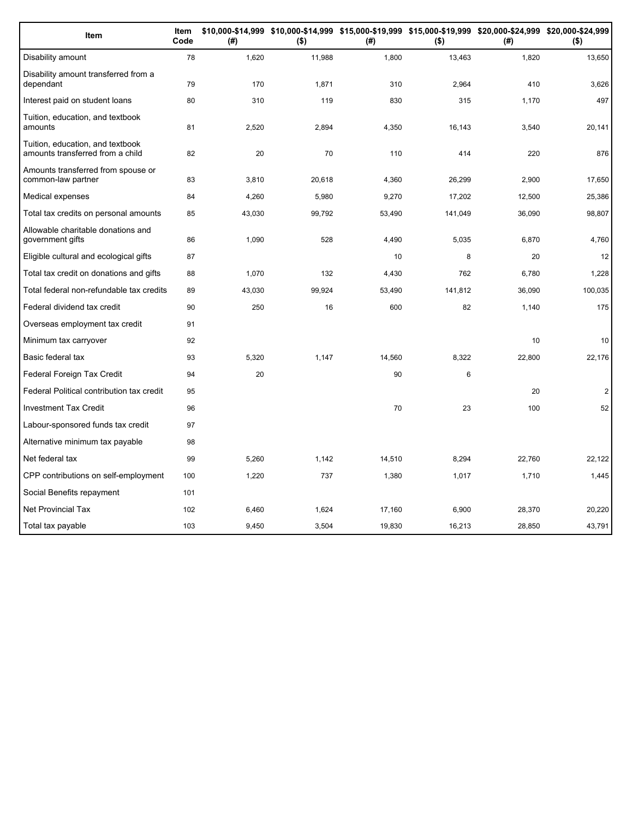| Item                                                                 | Item<br>Code | (#)    | \$10,000-\$14,999 \$10,000-\$14,999 \$15,000-\$19,999 \$15,000-\$19,999 \$20,000-\$24,999 \$20,000-\$24,999<br>$($ \$) | (#)    | $($ \$) | (# )   | $($ \$)        |
|----------------------------------------------------------------------|--------------|--------|------------------------------------------------------------------------------------------------------------------------|--------|---------|--------|----------------|
| Disability amount                                                    | 78           | 1,620  | 11,988                                                                                                                 | 1,800  | 13,463  | 1,820  | 13,650         |
| Disability amount transferred from a<br>dependant                    | 79           | 170    | 1,871                                                                                                                  | 310    | 2,964   | 410    | 3,626          |
| Interest paid on student loans                                       | 80           | 310    | 119                                                                                                                    | 830    | 315     | 1,170  | 497            |
| Tuition, education, and textbook<br>amounts                          | 81           | 2,520  | 2,894                                                                                                                  | 4,350  | 16,143  | 3,540  | 20,141         |
| Tuition, education, and textbook<br>amounts transferred from a child | 82           | 20     | 70                                                                                                                     | 110    | 414     | 220    | 876            |
| Amounts transferred from spouse or<br>common-law partner             | 83           | 3,810  | 20,618                                                                                                                 | 4,360  | 26,299  | 2,900  | 17,650         |
| Medical expenses                                                     | 84           | 4,260  | 5,980                                                                                                                  | 9,270  | 17,202  | 12,500 | 25,386         |
| Total tax credits on personal amounts                                | 85           | 43,030 | 99,792                                                                                                                 | 53,490 | 141,049 | 36,090 | 98,807         |
| Allowable charitable donations and<br>government gifts               | 86           | 1,090  | 528                                                                                                                    | 4,490  | 5,035   | 6,870  | 4,760          |
| Eligible cultural and ecological gifts                               | 87           |        |                                                                                                                        | 10     | 8       | 20     | 12             |
| Total tax credit on donations and gifts                              | 88           | 1,070  | 132                                                                                                                    | 4,430  | 762     | 6,780  | 1,228          |
| Total federal non-refundable tax credits                             | 89           | 43,030 | 99,924                                                                                                                 | 53,490 | 141,812 | 36,090 | 100,035        |
| Federal dividend tax credit                                          | 90           | 250    | 16                                                                                                                     | 600    | 82      | 1,140  | 175            |
| Overseas employment tax credit                                       | 91           |        |                                                                                                                        |        |         |        |                |
| Minimum tax carryover                                                | 92           |        |                                                                                                                        |        |         | 10     | 10             |
| Basic federal tax                                                    | 93           | 5,320  | 1,147                                                                                                                  | 14,560 | 8,322   | 22,800 | 22,176         |
| Federal Foreign Tax Credit                                           | 94           | 20     |                                                                                                                        | 90     | 6       |        |                |
| Federal Political contribution tax credit                            | 95           |        |                                                                                                                        |        |         | 20     | $\overline{2}$ |
| <b>Investment Tax Credit</b>                                         | 96           |        |                                                                                                                        | 70     | 23      | 100    | 52             |
| Labour-sponsored funds tax credit                                    | 97           |        |                                                                                                                        |        |         |        |                |
| Alternative minimum tax payable                                      | 98           |        |                                                                                                                        |        |         |        |                |
| Net federal tax                                                      | 99           | 5.260  | 1.142                                                                                                                  | 14,510 | 8.294   | 22.760 | 22,122         |
| CPP contributions on self-employment                                 | 100          | 1,220  | 737                                                                                                                    | 1,380  | 1,017   | 1,710  | 1,445          |
| Social Benefits repayment                                            | 101          |        |                                                                                                                        |        |         |        |                |
| <b>Net Provincial Tax</b>                                            | 102          | 6,460  | 1,624                                                                                                                  | 17,160 | 6,900   | 28,370 | 20,220         |
| Total tax payable                                                    | 103          | 9,450  | 3,504                                                                                                                  | 19,830 | 16,213  | 28,850 | 43,791         |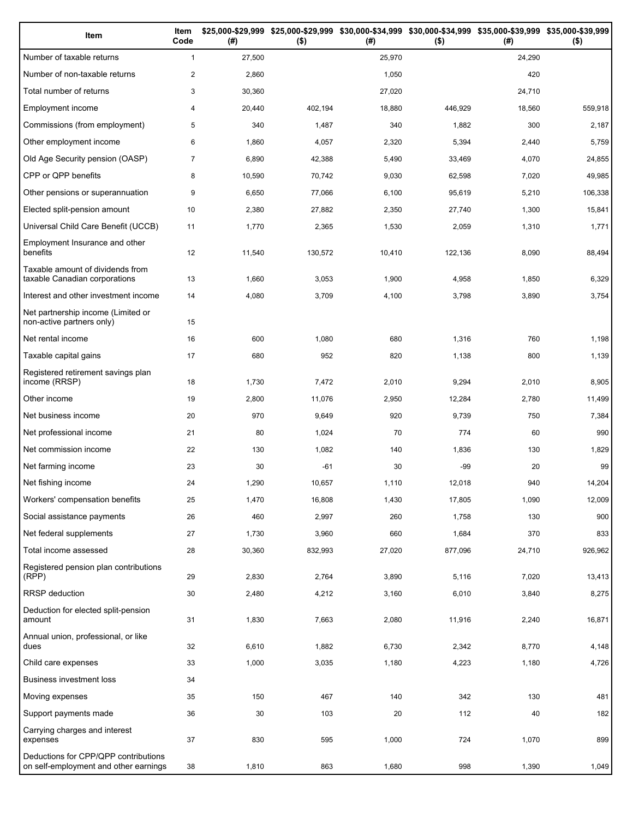| Item                                                                          | Item<br>Code   | (#)    | \$25,000-\$29,999 \$25,000-\$29,999 \$30,000-\$34,999 \$30,000-\$34,999 \$35,000-\$39,999 \$35,000-\$39,999<br>$($ \$) | (#)    | $($ \$) | (#)    | $($ \$) |
|-------------------------------------------------------------------------------|----------------|--------|------------------------------------------------------------------------------------------------------------------------|--------|---------|--------|---------|
| Number of taxable returns                                                     | $\mathbf{1}$   | 27,500 |                                                                                                                        | 25,970 |         | 24,290 |         |
| Number of non-taxable returns                                                 | $\overline{2}$ | 2,860  |                                                                                                                        | 1,050  |         | 420    |         |
| Total number of returns                                                       | 3              | 30,360 |                                                                                                                        | 27,020 |         | 24,710 |         |
| Employment income                                                             | 4              | 20,440 | 402,194                                                                                                                | 18,880 | 446,929 | 18,560 | 559,918 |
| Commissions (from employment)                                                 | 5              | 340    | 1,487                                                                                                                  | 340    | 1,882   | 300    | 2,187   |
| Other employment income                                                       | 6              | 1,860  | 4,057                                                                                                                  | 2,320  | 5,394   | 2,440  | 5,759   |
| Old Age Security pension (OASP)                                               | $\overline{7}$ | 6,890  | 42,388                                                                                                                 | 5,490  | 33,469  | 4,070  | 24,855  |
| CPP or QPP benefits                                                           | 8              | 10,590 | 70,742                                                                                                                 | 9,030  | 62,598  | 7,020  | 49,985  |
| Other pensions or superannuation                                              | 9              | 6,650  | 77,066                                                                                                                 | 6,100  | 95,619  | 5,210  | 106,338 |
| Elected split-pension amount                                                  | 10             | 2,380  | 27,882                                                                                                                 | 2,350  | 27,740  | 1,300  | 15,841  |
| Universal Child Care Benefit (UCCB)                                           | 11             | 1,770  | 2,365                                                                                                                  | 1,530  | 2,059   | 1,310  | 1,771   |
| Employment Insurance and other<br>benefits                                    | 12             | 11,540 | 130,572                                                                                                                | 10,410 | 122,136 | 8,090  | 88,494  |
| Taxable amount of dividends from<br>taxable Canadian corporations             | 13             | 1,660  | 3,053                                                                                                                  | 1,900  | 4,958   | 1,850  | 6,329   |
| Interest and other investment income                                          | 14             | 4,080  | 3,709                                                                                                                  | 4,100  | 3,798   | 3,890  | 3,754   |
| Net partnership income (Limited or<br>non-active partners only)               | 15             |        |                                                                                                                        |        |         |        |         |
| Net rental income                                                             | 16             | 600    | 1,080                                                                                                                  | 680    | 1,316   | 760    | 1,198   |
| Taxable capital gains                                                         | 17             | 680    | 952                                                                                                                    | 820    | 1,138   | 800    | 1,139   |
| Registered retirement savings plan<br>income (RRSP)                           | 18             | 1,730  | 7,472                                                                                                                  | 2,010  | 9,294   | 2,010  | 8,905   |
| Other income                                                                  | 19             | 2,800  | 11,076                                                                                                                 | 2,950  | 12,284  | 2,780  | 11,499  |
| Net business income                                                           | 20             | 970    | 9,649                                                                                                                  | 920    | 9,739   | 750    | 7,384   |
| Net professional income                                                       | 21             | 80     | 1,024                                                                                                                  | 70     | 774     | 60     | 990     |
| Net commission income                                                         | 22             | 130    | 1,082                                                                                                                  | 140    | 1,836   | 130    | 1,829   |
| Net farming income                                                            | 23             | 30     | $-61$                                                                                                                  | 30     | -99     | 20     | 99      |
| Net fishing income                                                            | 24             | 1,290  | 10,657                                                                                                                 | 1,110  | 12,018  | 940    | 14,204  |
| Workers' compensation benefits                                                | 25             | 1,470  | 16,808                                                                                                                 | 1,430  | 17,805  | 1,090  | 12,009  |
| Social assistance payments                                                    | 26             | 460    | 2,997                                                                                                                  | 260    | 1,758   | 130    | 900     |
| Net federal supplements                                                       | 27             | 1,730  | 3,960                                                                                                                  | 660    | 1,684   | 370    | 833     |
| Total income assessed                                                         | 28             | 30,360 | 832,993                                                                                                                | 27,020 | 877,096 | 24,710 | 926,962 |
| Registered pension plan contributions<br>(RPP)                                | 29             | 2,830  | 2,764                                                                                                                  | 3,890  | 5,116   | 7,020  | 13,413  |
| RRSP deduction                                                                | 30             | 2,480  | 4,212                                                                                                                  | 3,160  | 6,010   | 3,840  | 8,275   |
| Deduction for elected split-pension<br>amount                                 | 31             | 1,830  | 7,663                                                                                                                  | 2,080  | 11,916  | 2,240  | 16,871  |
| Annual union, professional, or like<br>dues                                   | 32             | 6,610  | 1,882                                                                                                                  | 6,730  | 2,342   | 8,770  | 4,148   |
| Child care expenses                                                           | 33             | 1,000  | 3,035                                                                                                                  | 1,180  | 4,223   | 1,180  | 4,726   |
| Business investment loss                                                      | 34             |        |                                                                                                                        |        |         |        |         |
| Moving expenses                                                               | 35             | 150    | 467                                                                                                                    | 140    | 342     | 130    | 481     |
| Support payments made                                                         | 36             | 30     | 103                                                                                                                    | 20     | 112     | 40     | 182     |
| Carrying charges and interest<br>expenses                                     | 37             | 830    | 595                                                                                                                    | 1,000  | 724     | 1,070  | 899     |
| Deductions for CPP/QPP contributions<br>on self-employment and other earnings | 38             | 1,810  | 863                                                                                                                    | 1,680  | 998     | 1,390  | 1,049   |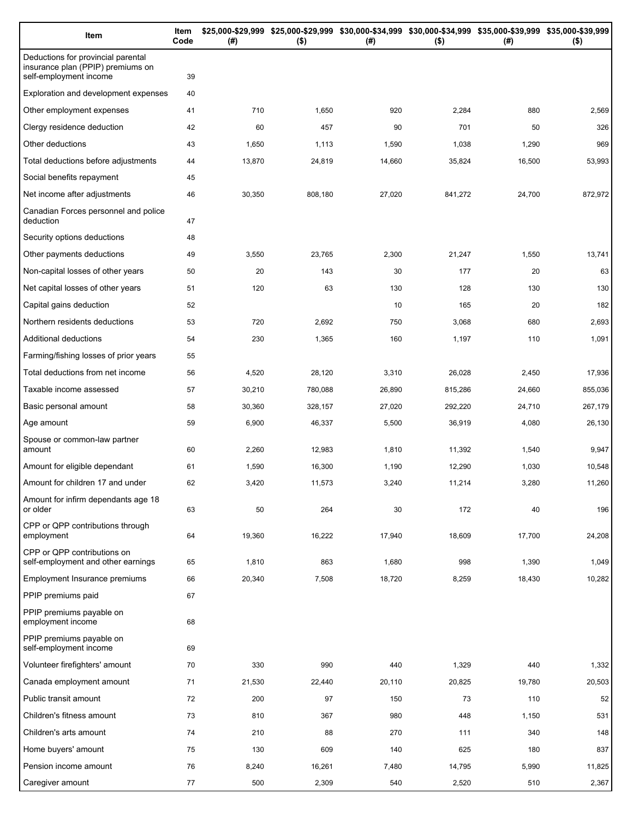| Item                                                                                              | Item<br>Code | (# )   | \$25,000-\$29,999 \$25,000-\$29,999 \$30,000-\$34,999 \$30,000-\$34,999 \$35,000-\$39,999 \$35,000-\$39,999<br>$($ \$) | (# )   | $($ \$) | (# )   | $($ \$) |
|---------------------------------------------------------------------------------------------------|--------------|--------|------------------------------------------------------------------------------------------------------------------------|--------|---------|--------|---------|
| Deductions for provincial parental<br>insurance plan (PPIP) premiums on<br>self-employment income | 39           |        |                                                                                                                        |        |         |        |         |
| Exploration and development expenses                                                              | 40           |        |                                                                                                                        |        |         |        |         |
| Other employment expenses                                                                         | 41           | 710    | 1,650                                                                                                                  | 920    | 2,284   | 880    | 2,569   |
| Clergy residence deduction                                                                        | 42           | 60     | 457                                                                                                                    | 90     | 701     | 50     | 326     |
| Other deductions                                                                                  | 43           | 1,650  | 1,113                                                                                                                  | 1,590  | 1,038   | 1,290  | 969     |
| Total deductions before adjustments                                                               | 44           | 13,870 | 24,819                                                                                                                 | 14,660 | 35,824  | 16,500 | 53,993  |
| Social benefits repayment                                                                         | 45           |        |                                                                                                                        |        |         |        |         |
| Net income after adjustments                                                                      | 46           | 30,350 | 808,180                                                                                                                | 27,020 | 841,272 | 24,700 | 872,972 |
| Canadian Forces personnel and police<br>deduction                                                 | 47           |        |                                                                                                                        |        |         |        |         |
| Security options deductions                                                                       | 48           |        |                                                                                                                        |        |         |        |         |
| Other payments deductions                                                                         | 49           | 3,550  | 23,765                                                                                                                 | 2,300  | 21,247  | 1,550  | 13,741  |
| Non-capital losses of other years                                                                 | 50           | 20     | 143                                                                                                                    | 30     | 177     | 20     | 63      |
| Net capital losses of other years                                                                 | 51           | 120    | 63                                                                                                                     | 130    | 128     | 130    | 130     |
| Capital gains deduction                                                                           | 52           |        |                                                                                                                        | 10     | 165     | 20     | 182     |
| Northern residents deductions                                                                     | 53           | 720    | 2,692                                                                                                                  | 750    | 3,068   | 680    | 2,693   |
| Additional deductions                                                                             | 54           | 230    | 1,365                                                                                                                  | 160    | 1,197   | 110    | 1,091   |
| Farming/fishing losses of prior years                                                             | 55           |        |                                                                                                                        |        |         |        |         |
| Total deductions from net income                                                                  | 56           | 4,520  | 28,120                                                                                                                 | 3,310  | 26,028  | 2,450  | 17,936  |
| Taxable income assessed                                                                           | 57           | 30,210 | 780,088                                                                                                                | 26,890 | 815,286 | 24,660 | 855,036 |
| Basic personal amount                                                                             | 58           | 30,360 | 328,157                                                                                                                | 27,020 | 292,220 | 24,710 | 267,179 |
| Age amount                                                                                        | 59           | 6,900  | 46,337                                                                                                                 | 5,500  | 36,919  | 4,080  | 26,130  |
| Spouse or common-law partner<br>amount                                                            | 60           | 2,260  | 12,983                                                                                                                 | 1,810  | 11,392  | 1,540  | 9,947   |
| Amount for eligible dependant                                                                     | 61           | 1,590  | 16,300                                                                                                                 | 1,190  | 12,290  | 1,030  | 10,548  |
| Amount for children 17 and under                                                                  | 62           | 3,420  | 11,573                                                                                                                 | 3,240  | 11,214  | 3,280  | 11,260  |
| Amount for infirm dependants age 18<br>or older                                                   | 63           | 50     | 264                                                                                                                    | 30     | 172     | 40     | 196     |
| CPP or QPP contributions through<br>employment                                                    | 64           | 19,360 | 16,222                                                                                                                 | 17,940 | 18,609  | 17,700 | 24,208  |
| CPP or QPP contributions on<br>self-employment and other earnings                                 | 65           | 1,810  | 863                                                                                                                    | 1,680  | 998     | 1,390  | 1,049   |
| Employment Insurance premiums                                                                     | 66           | 20,340 | 7,508                                                                                                                  | 18,720 | 8,259   | 18,430 | 10,282  |
| PPIP premiums paid                                                                                | 67           |        |                                                                                                                        |        |         |        |         |
| PPIP premiums payable on<br>employment income                                                     | 68           |        |                                                                                                                        |        |         |        |         |
| PPIP premiums payable on<br>self-employment income                                                | 69           |        |                                                                                                                        |        |         |        |         |
| Volunteer firefighters' amount                                                                    | 70           | 330    | 990                                                                                                                    | 440    | 1,329   | 440    | 1,332   |
| Canada employment amount                                                                          | 71           | 21,530 | 22,440                                                                                                                 | 20,110 | 20,825  | 19,780 | 20,503  |
| Public transit amount                                                                             | 72           | 200    | 97                                                                                                                     | 150    | 73      | 110    | 52      |
| Children's fitness amount                                                                         | 73           | 810    | 367                                                                                                                    | 980    | 448     | 1,150  | 531     |
| Children's arts amount                                                                            | 74           | 210    | 88                                                                                                                     | 270    | 111     | 340    | 148     |
| Home buyers' amount                                                                               | 75           | 130    | 609                                                                                                                    | 140    | 625     | 180    | 837     |
| Pension income amount                                                                             | 76           | 8,240  | 16,261                                                                                                                 | 7,480  | 14,795  | 5,990  | 11,825  |
| Caregiver amount                                                                                  | 77           | 500    | 2,309                                                                                                                  | 540    | 2,520   | 510    | 2,367   |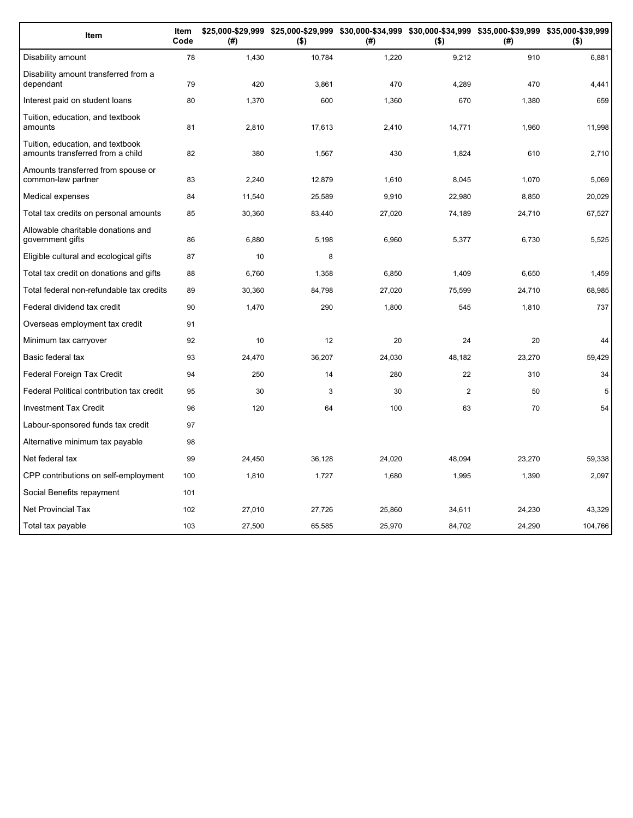| Item                                                                 | Item<br>Code | (# )   | \$25,000-\$29,999 \$25,000-\$29,999 \$30,000-\$34,999 \$30,000-\$34,999 \$35,000-\$39,999 \$35,000-\$39,999<br>$($ \$) | (#)    | $($ \$) | (#)    | $($ \$) |
|----------------------------------------------------------------------|--------------|--------|------------------------------------------------------------------------------------------------------------------------|--------|---------|--------|---------|
| Disability amount                                                    | 78           | 1,430  | 10,784                                                                                                                 | 1,220  | 9,212   | 910    | 6,881   |
| Disability amount transferred from a<br>dependant                    | 79           | 420    | 3,861                                                                                                                  | 470    | 4.289   | 470    | 4,441   |
| Interest paid on student loans                                       | 80           | 1,370  | 600                                                                                                                    | 1,360  | 670     | 1,380  | 659     |
| Tuition, education, and textbook<br>amounts                          | 81           | 2,810  | 17,613                                                                                                                 | 2,410  | 14,771  | 1,960  | 11,998  |
| Tuition, education, and textbook<br>amounts transferred from a child | 82           | 380    | 1,567                                                                                                                  | 430    | 1,824   | 610    | 2,710   |
| Amounts transferred from spouse or<br>common-law partner             | 83           | 2.240  | 12,879                                                                                                                 | 1,610  | 8,045   | 1,070  | 5,069   |
| Medical expenses                                                     | 84           | 11,540 | 25,589                                                                                                                 | 9,910  | 22,980  | 8,850  | 20,029  |
| Total tax credits on personal amounts                                | 85           | 30,360 | 83,440                                                                                                                 | 27,020 | 74,189  | 24,710 | 67,527  |
| Allowable charitable donations and<br>government gifts               | 86           | 6,880  | 5,198                                                                                                                  | 6,960  | 5,377   | 6,730  | 5,525   |
| Eligible cultural and ecological gifts                               | 87           | 10     | 8                                                                                                                      |        |         |        |         |
| Total tax credit on donations and gifts                              | 88           | 6,760  | 1,358                                                                                                                  | 6,850  | 1,409   | 6,650  | 1,459   |
| Total federal non-refundable tax credits                             | 89           | 30,360 | 84,798                                                                                                                 | 27,020 | 75,599  | 24,710 | 68,985  |
| Federal dividend tax credit                                          | 90           | 1,470  | 290                                                                                                                    | 1,800  | 545     | 1,810  | 737     |
| Overseas employment tax credit                                       | 91           |        |                                                                                                                        |        |         |        |         |
| Minimum tax carryover                                                | 92           | 10     | 12                                                                                                                     | 20     | 24      | 20     | 44      |
| Basic federal tax                                                    | 93           | 24,470 | 36,207                                                                                                                 | 24,030 | 48,182  | 23,270 | 59,429  |
| Federal Foreign Tax Credit                                           | 94           | 250    | 14                                                                                                                     | 280    | 22      | 310    | 34      |
| Federal Political contribution tax credit                            | 95           | 30     | 3                                                                                                                      | 30     | 2       | 50     | 5       |
| <b>Investment Tax Credit</b>                                         | 96           | 120    | 64                                                                                                                     | 100    | 63      | 70     | 54      |
| Labour-sponsored funds tax credit                                    | 97           |        |                                                                                                                        |        |         |        |         |
| Alternative minimum tax payable                                      | 98           |        |                                                                                                                        |        |         |        |         |
| Net federal tax                                                      | 99           | 24,450 | 36,128                                                                                                                 | 24,020 | 48,094  | 23,270 | 59,338  |
| CPP contributions on self-employment                                 | 100          | 1,810  | 1,727                                                                                                                  | 1,680  | 1,995   | 1,390  | 2,097   |
| Social Benefits repayment                                            | 101          |        |                                                                                                                        |        |         |        |         |
| Net Provincial Tax                                                   | 102          | 27,010 | 27.726                                                                                                                 | 25,860 | 34,611  | 24,230 | 43.329  |
| Total tax payable                                                    | 103          | 27,500 | 65,585                                                                                                                 | 25,970 | 84,702  | 24,290 | 104,766 |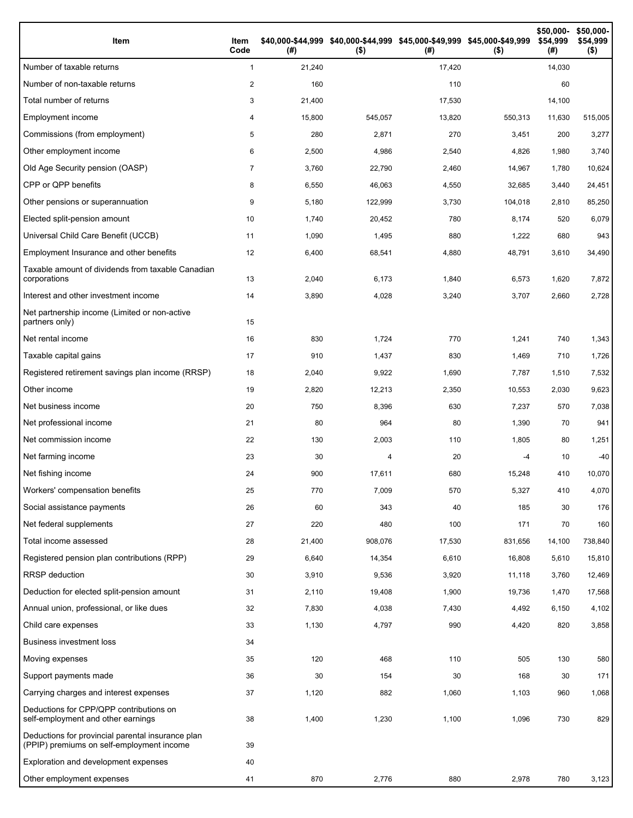| Item                                                                                           | Item<br>Code   | (#)    | \$40,000-\$44,999 \$40,000-\$44,999 \$45,000-\$49,999 \$45,000-\$49,999<br>$($ \$) | (#)    | $($ \$) | \$50,000-<br>\$54,999<br>(# ) | \$50,000-<br>\$54,999<br>$($ \$) |
|------------------------------------------------------------------------------------------------|----------------|--------|------------------------------------------------------------------------------------|--------|---------|-------------------------------|----------------------------------|
| Number of taxable returns                                                                      | $\mathbf{1}$   | 21,240 |                                                                                    | 17,420 |         | 14,030                        |                                  |
| Number of non-taxable returns                                                                  | 2              | 160    |                                                                                    | 110    |         | 60                            |                                  |
| Total number of returns                                                                        | 3              | 21,400 |                                                                                    | 17,530 |         | 14,100                        |                                  |
| Employment income                                                                              | 4              | 15,800 | 545,057                                                                            | 13,820 | 550,313 | 11,630                        | 515,005                          |
| Commissions (from employment)                                                                  | 5              | 280    | 2,871                                                                              | 270    | 3,451   | 200                           | 3,277                            |
| Other employment income                                                                        | 6              | 2,500  | 4,986                                                                              | 2,540  | 4,826   | 1,980                         | 3,740                            |
| Old Age Security pension (OASP)                                                                | $\overline{7}$ | 3,760  | 22,790                                                                             | 2,460  | 14,967  | 1,780                         | 10,624                           |
| CPP or QPP benefits                                                                            | 8              | 6,550  | 46,063                                                                             | 4,550  | 32,685  | 3,440                         | 24,451                           |
| Other pensions or superannuation                                                               | 9              | 5,180  | 122,999                                                                            | 3,730  | 104,018 | 2,810                         | 85,250                           |
| Elected split-pension amount                                                                   | 10             | 1,740  | 20,452                                                                             | 780    | 8,174   | 520                           | 6,079                            |
| Universal Child Care Benefit (UCCB)                                                            | 11             | 1,090  | 1,495                                                                              | 880    | 1,222   | 680                           | 943                              |
| Employment Insurance and other benefits                                                        | 12             | 6,400  | 68,541                                                                             | 4,880  | 48,791  | 3,610                         | 34,490                           |
| Taxable amount of dividends from taxable Canadian<br>corporations                              | 13             | 2,040  | 6,173                                                                              | 1,840  | 6,573   | 1,620                         | 7,872                            |
| Interest and other investment income                                                           | 14             | 3,890  | 4,028                                                                              | 3,240  | 3,707   | 2,660                         | 2,728                            |
| Net partnership income (Limited or non-active<br>partners only)                                | 15             |        |                                                                                    |        |         |                               |                                  |
| Net rental income                                                                              | 16             | 830    | 1,724                                                                              | 770    | 1,241   | 740                           | 1,343                            |
| Taxable capital gains                                                                          | 17             | 910    | 1,437                                                                              | 830    | 1,469   | 710                           | 1,726                            |
| Registered retirement savings plan income (RRSP)                                               | 18             | 2,040  | 9,922                                                                              | 1,690  | 7,787   | 1,510                         | 7,532                            |
| Other income                                                                                   | 19             | 2,820  | 12,213                                                                             | 2,350  | 10,553  | 2,030                         | 9,623                            |
| Net business income                                                                            | 20             | 750    | 8,396                                                                              | 630    | 7,237   | 570                           | 7,038                            |
| Net professional income                                                                        | 21             | 80     | 964                                                                                | 80     | 1,390   | 70                            | 941                              |
| Net commission income                                                                          | 22             | 130    | 2,003                                                                              | 110    | 1,805   | 80                            | 1,251                            |
| Net farming income                                                                             | 23             | 30     | 4                                                                                  | 20     | -4      | 10                            | -40                              |
| Net fishing income                                                                             | 24             | 900    | 17,611                                                                             | 680    | 15,248  | 410                           | 10,070                           |
| Workers' compensation benefits                                                                 | 25             | 770    | 7,009                                                                              | 570    | 5,327   | 410                           | 4,070                            |
| Social assistance payments                                                                     | 26             | 60     | 343                                                                                | 40     | 185     | 30                            | 176                              |
| Net federal supplements                                                                        | 27             | 220    | 480                                                                                | 100    | 171     | 70                            | 160                              |
| Total income assessed                                                                          | 28             | 21,400 | 908,076                                                                            | 17,530 | 831,656 | 14,100                        | 738,840                          |
| Registered pension plan contributions (RPP)                                                    | 29             | 6,640  | 14,354                                                                             | 6,610  | 16,808  | 5,610                         | 15,810                           |
| RRSP deduction                                                                                 | 30             | 3,910  | 9,536                                                                              | 3,920  | 11,118  | 3,760                         | 12,469                           |
| Deduction for elected split-pension amount                                                     | 31             | 2,110  | 19,408                                                                             | 1,900  | 19,736  | 1,470                         | 17,568                           |
| Annual union, professional, or like dues                                                       | 32             | 7,830  | 4,038                                                                              | 7,430  | 4,492   | 6,150                         | 4,102                            |
| Child care expenses                                                                            | 33             | 1,130  | 4,797                                                                              | 990    | 4,420   | 820                           | 3,858                            |
| <b>Business investment loss</b>                                                                | 34             |        |                                                                                    |        |         |                               |                                  |
| Moving expenses                                                                                | 35             | 120    | 468                                                                                | 110    | 505     | 130                           | 580                              |
| Support payments made                                                                          | 36             | 30     | 154                                                                                | 30     | 168     | 30                            | 171                              |
| Carrying charges and interest expenses                                                         | 37             | 1,120  | 882                                                                                | 1,060  | 1,103   | 960                           | 1,068                            |
| Deductions for CPP/QPP contributions on<br>self-employment and other earnings                  | 38             | 1,400  | 1,230                                                                              | 1,100  | 1,096   | 730                           | 829                              |
| Deductions for provincial parental insurance plan<br>(PPIP) premiums on self-employment income | 39             |        |                                                                                    |        |         |                               |                                  |
| Exploration and development expenses                                                           | 40             |        |                                                                                    |        |         |                               |                                  |
| Other employment expenses                                                                      | 41             | 870    | 2,776                                                                              | 880    | 2,978   | 780                           | 3,123                            |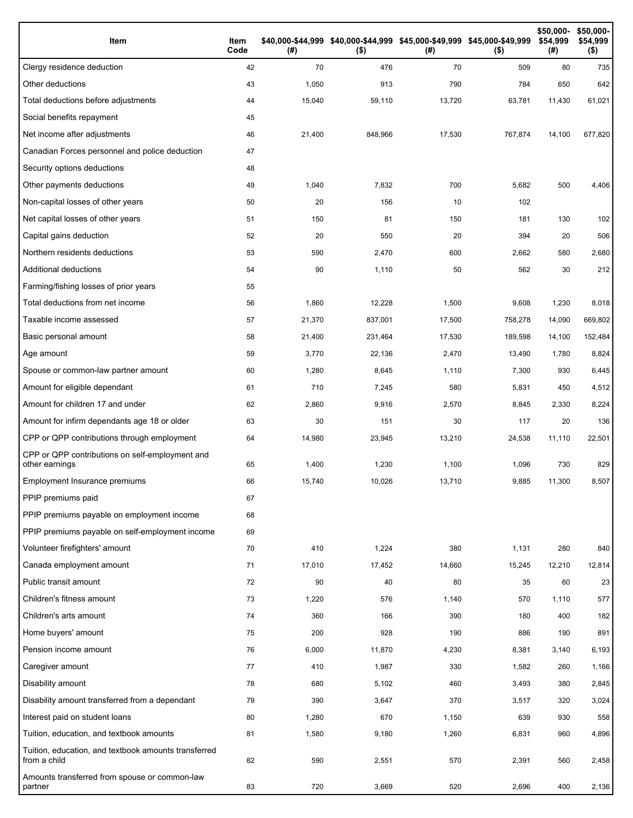| Item                                                                 | Item<br>Code | (# )   | \$40,000-\$44,999 \$40,000-\$44,999 \$45,000-\$49,999 \$45,000-\$49,999<br>$($ \$) | (# )   | $($ \$) | \$50,000-<br>\$54,999<br>(#) | \$50,000-<br>\$54,999<br>$($ \$) |
|----------------------------------------------------------------------|--------------|--------|------------------------------------------------------------------------------------|--------|---------|------------------------------|----------------------------------|
| Clergy residence deduction                                           | 42           | 70     | 476                                                                                | 70     | 509     | 80                           | 735                              |
| Other deductions                                                     | 43           | 1,050  | 913                                                                                | 790    | 784     | 650                          | 642                              |
| Total deductions before adjustments                                  | 44           | 15,040 | 59,110                                                                             | 13,720 | 63,781  | 11,430                       | 61,021                           |
| Social benefits repayment                                            | 45           |        |                                                                                    |        |         |                              |                                  |
| Net income after adjustments                                         | 46           | 21,400 | 848,966                                                                            | 17,530 | 767,874 | 14,100                       | 677,820                          |
| Canadian Forces personnel and police deduction                       | 47           |        |                                                                                    |        |         |                              |                                  |
| Security options deductions                                          | 48           |        |                                                                                    |        |         |                              |                                  |
| Other payments deductions                                            | 49           | 1,040  | 7,832                                                                              | 700    | 5,682   | 500                          | 4,406                            |
| Non-capital losses of other years                                    | 50           | 20     | 156                                                                                | 10     | 102     |                              |                                  |
| Net capital losses of other years                                    | 51           | 150    | 81                                                                                 | 150    | 181     | 130                          | 102                              |
| Capital gains deduction                                              | 52           | 20     | 550                                                                                | 20     | 394     | 20                           | 506                              |
| Northern residents deductions                                        | 53           | 590    | 2,470                                                                              | 600    | 2,662   | 580                          | 2,680                            |
| Additional deductions                                                | 54           | 90     | 1,110                                                                              | 50     | 562     | 30                           | 212                              |
| Farming/fishing losses of prior years                                | 55           |        |                                                                                    |        |         |                              |                                  |
| Total deductions from net income                                     | 56           | 1,860  | 12,228                                                                             | 1,500  | 9,608   | 1,230                        | 8,018                            |
| Taxable income assessed                                              | 57           | 21,370 | 837,001                                                                            | 17,500 | 758,278 | 14,090                       | 669,802                          |
| Basic personal amount                                                | 58           | 21,400 | 231,464                                                                            | 17,530 | 189,598 | 14,100                       | 152,484                          |
| Age amount                                                           | 59           | 3,770  | 22,136                                                                             | 2,470  | 13,490  | 1,780                        | 8,824                            |
| Spouse or common-law partner amount                                  | 60           | 1,280  | 8,645                                                                              | 1,110  | 7,300   | 930                          | 6,445                            |
| Amount for eligible dependant                                        | 61           | 710    | 7,245                                                                              | 580    | 5,831   | 450                          | 4,512                            |
| Amount for children 17 and under                                     | 62           | 2,860  | 9,916                                                                              | 2,570  | 8,845   | 2,330                        | 8,224                            |
| Amount for infirm dependants age 18 or older                         | 63           | 30     | 151                                                                                | 30     | 117     | 20                           | 136                              |
| CPP or QPP contributions through employment                          | 64           | 14,980 | 23,945                                                                             | 13,210 | 24,538  | 11,110                       | 22,501                           |
| CPP or QPP contributions on self-employment and<br>other earnings    | 65           | 1,400  | 1,230                                                                              | 1,100  | 1,096   | 730                          | 829                              |
| Employment Insurance premiums                                        | 66           | 15,740 | 10.026                                                                             | 13,710 | 9,885   | 11,300                       | 8,507                            |
| PPIP premiums paid                                                   | 67           |        |                                                                                    |        |         |                              |                                  |
| PPIP premiums payable on employment income                           | 68           |        |                                                                                    |        |         |                              |                                  |
| PPIP premiums payable on self-employment income                      | 69           |        |                                                                                    |        |         |                              |                                  |
| Volunteer firefighters' amount                                       | 70           | 410    | 1,224                                                                              | 380    | 1,131   | 280                          | 840                              |
| Canada employment amount                                             | 71           | 17,010 | 17,452                                                                             | 14,660 | 15,245  | 12,210                       | 12,814                           |
| Public transit amount                                                | 72           | 90     | 40                                                                                 | 80     | 35      | 60                           | 23                               |
| Children's fitness amount                                            | 73           | 1,220  | 576                                                                                | 1,140  | 570     | 1,110                        | 577                              |
| Children's arts amount                                               | 74           | 360    | 166                                                                                | 390    | 180     | 400                          | 182                              |
| Home buyers' amount                                                  | 75           | 200    | 928                                                                                | 190    | 886     | 190                          | 891                              |
| Pension income amount                                                | 76           | 6,000  | 11,870                                                                             | 4,230  | 8,381   | 3,140                        | 6,193                            |
| Caregiver amount                                                     | 77           | 410    | 1,987                                                                              | 330    | 1,582   | 260                          | 1,166                            |
| Disability amount                                                    | 78           | 680    | 5,102                                                                              | 460    | 3,493   | 380                          | 2,845                            |
| Disability amount transferred from a dependant                       | 79           | 390    | 3,647                                                                              | 370    | 3,517   | 320                          | 3,024                            |
| Interest paid on student loans                                       | 80           | 1,280  | 670                                                                                | 1,150  | 639     | 930                          | 558                              |
| Tuition, education, and textbook amounts                             | 81           | 1,580  | 9,180                                                                              | 1,260  | 6,831   | 960                          | 4,896                            |
| Tuition, education, and textbook amounts transferred<br>from a child | 82           | 590    | 2,551                                                                              | 570    | 2,391   | 560                          | 2,458                            |
| Amounts transferred from spouse or common-law<br>partner             | 83           | 720    | 3,669                                                                              | 520    | 2,696   | 400                          | 2,136                            |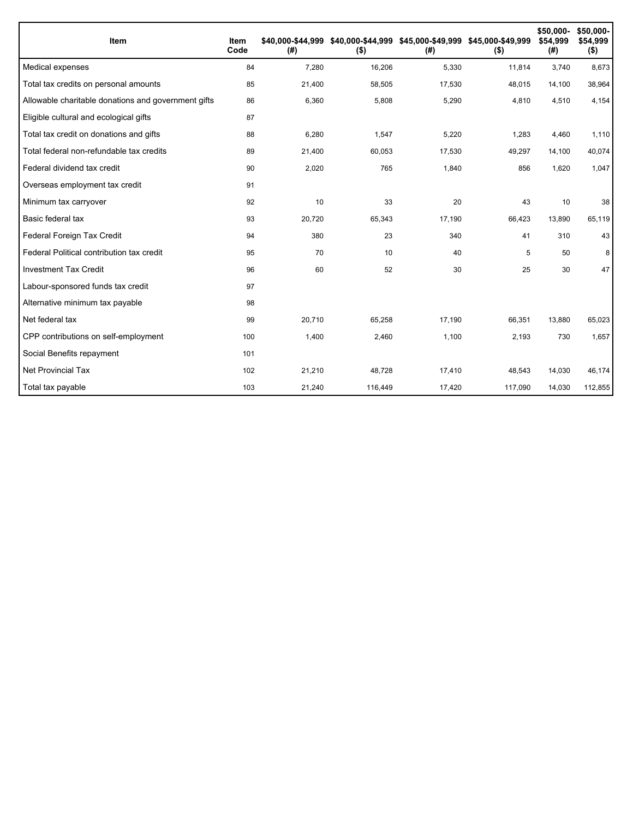| <b>Item</b>                                         | Item<br>Code | \$40.000-\$44.999<br>(#) | $($ \$) | (#)    | \$40,000-\$44,999 \$45,000-\$49,999 \$45,000-\$49,999<br>$($ \$) | \$50,000-<br>\$54,999<br>(#) | \$50,000-<br>\$54,999<br>$($ \$) |
|-----------------------------------------------------|--------------|--------------------------|---------|--------|------------------------------------------------------------------|------------------------------|----------------------------------|
| Medical expenses                                    | 84           | 7,280                    | 16,206  | 5,330  | 11,814                                                           | 3,740                        | 8,673                            |
| Total tax credits on personal amounts               | 85           | 21,400                   | 58,505  | 17,530 | 48,015                                                           | 14,100                       | 38,964                           |
| Allowable charitable donations and government gifts | 86           | 6,360                    | 5,808   | 5,290  | 4,810                                                            | 4,510                        | 4,154                            |
| Eligible cultural and ecological gifts              | 87           |                          |         |        |                                                                  |                              |                                  |
| Total tax credit on donations and gifts             | 88           | 6,280                    | 1,547   | 5,220  | 1,283                                                            | 4,460                        | 1,110                            |
| Total federal non-refundable tax credits            | 89           | 21,400                   | 60,053  | 17,530 | 49,297                                                           | 14,100                       | 40,074                           |
| Federal dividend tax credit                         | 90           | 2,020                    | 765     | 1,840  | 856                                                              | 1,620                        | 1,047                            |
| Overseas employment tax credit                      | 91           |                          |         |        |                                                                  |                              |                                  |
| Minimum tax carryover                               | 92           | 10                       | 33      | 20     | 43                                                               | 10                           | 38                               |
| Basic federal tax                                   | 93           | 20,720                   | 65,343  | 17,190 | 66,423                                                           | 13,890                       | 65,119                           |
| Federal Foreign Tax Credit                          | 94           | 380                      | 23      | 340    | 41                                                               | 310                          | 43                               |
| Federal Political contribution tax credit           | 95           | 70                       | 10      | 40     | 5                                                                | 50                           | 8                                |
| <b>Investment Tax Credit</b>                        | 96           | 60                       | 52      | 30     | 25                                                               | 30                           | 47                               |
| Labour-sponsored funds tax credit                   | 97           |                          |         |        |                                                                  |                              |                                  |
| Alternative minimum tax payable                     | 98           |                          |         |        |                                                                  |                              |                                  |
| Net federal tax                                     | 99           | 20,710                   | 65,258  | 17,190 | 66,351                                                           | 13,880                       | 65,023                           |
| CPP contributions on self-employment                | 100          | 1,400                    | 2,460   | 1,100  | 2,193                                                            | 730                          | 1,657                            |
| Social Benefits repayment                           | 101          |                          |         |        |                                                                  |                              |                                  |
| <b>Net Provincial Tax</b>                           | 102          | 21,210                   | 48,728  | 17,410 | 48,543                                                           | 14,030                       | 46,174                           |
| Total tax payable                                   | 103          | 21,240                   | 116,449 | 17,420 | 117,090                                                          | 14,030                       | 112,855                          |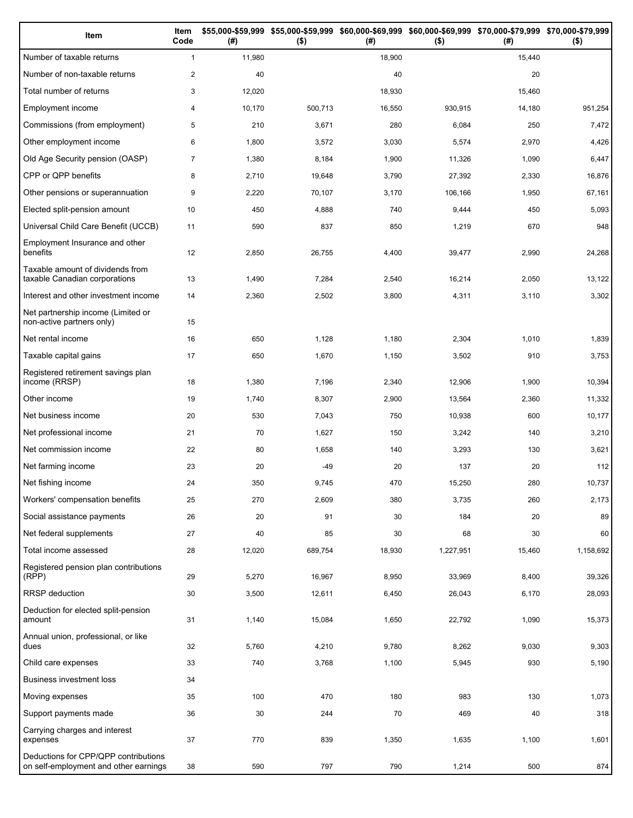| Item                                                                          | Item<br>Code   | (# )   | \$55,000-\$59,999 \$55,000-\$59,999<br>$($ \$) | (# )   | \$60,000-\$69,999 \$60,000-\$69,999 \$70,000-\$79,999 \$70,000-\$79,999<br>$($ \$) | (# )   | $($ \$)   |
|-------------------------------------------------------------------------------|----------------|--------|------------------------------------------------|--------|------------------------------------------------------------------------------------|--------|-----------|
| Number of taxable returns                                                     | $\mathbf{1}$   | 11,980 |                                                | 18,900 |                                                                                    | 15,440 |           |
| Number of non-taxable returns                                                 | $\overline{c}$ | 40     |                                                | 40     |                                                                                    | 20     |           |
| Total number of returns                                                       | 3              | 12,020 |                                                | 18,930 |                                                                                    | 15,460 |           |
| Employment income                                                             | 4              | 10,170 | 500,713                                        | 16,550 | 930,915                                                                            | 14,180 | 951,254   |
| Commissions (from employment)                                                 | 5              | 210    | 3,671                                          | 280    | 6,084                                                                              | 250    | 7,472     |
| Other employment income                                                       | 6              | 1,800  | 3,572                                          | 3,030  | 5,574                                                                              | 2,970  | 4,426     |
| Old Age Security pension (OASP)                                               | $\overline{7}$ | 1,380  | 8,184                                          | 1,900  | 11,326                                                                             | 1,090  | 6,447     |
| CPP or QPP benefits                                                           | 8              | 2,710  | 19,648                                         | 3,790  | 27,392                                                                             | 2,330  | 16,876    |
| Other pensions or superannuation                                              | 9              | 2,220  | 70,107                                         | 3,170  | 106,166                                                                            | 1,950  | 67,161    |
| Elected split-pension amount                                                  | 10             | 450    | 4,888                                          | 740    | 9,444                                                                              | 450    | 5,093     |
| Universal Child Care Benefit (UCCB)                                           | 11             | 590    | 837                                            | 850    | 1,219                                                                              | 670    | 948       |
| Employment Insurance and other<br>benefits                                    | 12             | 2,850  | 26,755                                         | 4,400  | 39,477                                                                             | 2,990  | 24,268    |
| Taxable amount of dividends from<br>taxable Canadian corporations             | 13             | 1,490  | 7,284                                          | 2,540  | 16,214                                                                             | 2,050  | 13,122    |
| Interest and other investment income                                          | 14             | 2,360  | 2,502                                          | 3,800  | 4,311                                                                              | 3,110  | 3,302     |
| Net partnership income (Limited or<br>non-active partners only)               | 15             |        |                                                |        |                                                                                    |        |           |
| Net rental income                                                             | 16             | 650    | 1,128                                          | 1,180  | 2,304                                                                              | 1,010  | 1,839     |
| Taxable capital gains                                                         | 17             | 650    | 1,670                                          | 1,150  | 3,502                                                                              | 910    | 3,753     |
| Registered retirement savings plan<br>income (RRSP)                           | 18             | 1,380  | 7,196                                          | 2,340  | 12,906                                                                             | 1,900  | 10,394    |
| Other income                                                                  | 19             | 1,740  | 8,307                                          | 2,900  | 13,564                                                                             | 2,360  | 11,332    |
| Net business income                                                           | 20             | 530    | 7,043                                          | 750    | 10,938                                                                             | 600    | 10,177    |
| Net professional income                                                       | 21             | 70     | 1,627                                          | 150    | 3,242                                                                              | 140    | 3,210     |
| Net commission income                                                         | 22             | 80     | 1,658                                          | 140    | 3,293                                                                              | 130    | 3,621     |
| Net farming income                                                            | 23             | 20     | $-49$                                          | 20     | 137                                                                                | 20     | 112       |
| Net fishing income                                                            | 24             | 350    | 9,745                                          | 470    | 15,250                                                                             | 280    | 10,737    |
| Workers' compensation benefits                                                | 25             | 270    | 2,609                                          | 380    | 3,735                                                                              | 260    | 2,173     |
| Social assistance payments                                                    | 26             | 20     | 91                                             | 30     | 184                                                                                | 20     | 89        |
| Net federal supplements                                                       | 27             | 40     | 85                                             | 30     | 68                                                                                 | 30     | 60        |
| Total income assessed                                                         | 28             | 12,020 | 689,754                                        | 18,930 | 1,227,951                                                                          | 15,460 | 1,158,692 |
| Registered pension plan contributions<br>(RPP)                                | 29             | 5,270  | 16,967                                         | 8,950  | 33,969                                                                             | 8,400  | 39,326    |
| RRSP deduction                                                                | 30             | 3,500  | 12,611                                         | 6,450  | 26,043                                                                             | 6,170  | 28,093    |
| Deduction for elected split-pension<br>amount                                 | 31             | 1,140  | 15,084                                         | 1,650  | 22,792                                                                             | 1,090  | 15,373    |
| Annual union, professional, or like<br>dues                                   | 32             | 5,760  | 4,210                                          | 9,780  | 8,262                                                                              | 9,030  | 9,303     |
| Child care expenses                                                           | 33             | 740    | 3,768                                          | 1,100  | 5,945                                                                              | 930    | 5,190     |
| Business investment loss                                                      | 34             |        |                                                |        |                                                                                    |        |           |
| Moving expenses                                                               | 35             | 100    | 470                                            | 180    | 983                                                                                | 130    | 1,073     |
| Support payments made                                                         | 36             | 30     | 244                                            | 70     | 469                                                                                | 40     | 318       |
| Carrying charges and interest<br>expenses                                     | 37             | 770    | 839                                            | 1,350  | 1,635                                                                              | 1,100  | 1,601     |
| Deductions for CPP/QPP contributions<br>on self-employment and other earnings | 38             | 590    | 797                                            | 790    | 1,214                                                                              | 500    | 874       |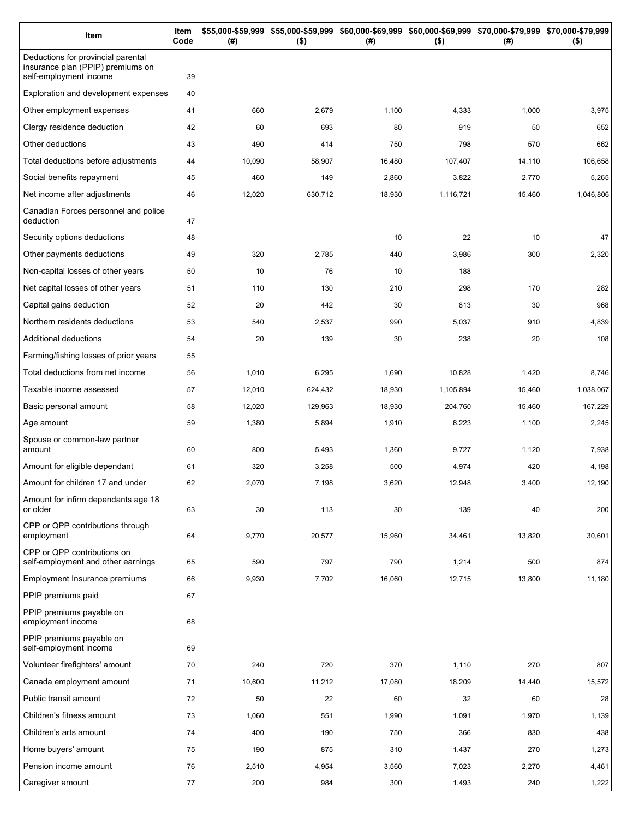| Item                                                                                              | Item<br>Code | (#)    | $($ \$) | \$55,000-\$59,999 \$55,000-\$59,999 \$60,000-\$69,999 \$60,000-\$69,999 \$70,000-\$79,999 \$70,000-\$79,999<br>(#) | $($ \$)   | (# )   | $($ \$)   |
|---------------------------------------------------------------------------------------------------|--------------|--------|---------|--------------------------------------------------------------------------------------------------------------------|-----------|--------|-----------|
| Deductions for provincial parental<br>insurance plan (PPIP) premiums on<br>self-employment income | 39           |        |         |                                                                                                                    |           |        |           |
| Exploration and development expenses                                                              | 40           |        |         |                                                                                                                    |           |        |           |
| Other employment expenses                                                                         | 41           | 660    | 2,679   | 1,100                                                                                                              | 4,333     | 1,000  | 3,975     |
| Clergy residence deduction                                                                        | 42           | 60     | 693     | 80                                                                                                                 | 919       | 50     | 652       |
| Other deductions                                                                                  | 43           | 490    | 414     | 750                                                                                                                | 798       | 570    | 662       |
| Total deductions before adjustments                                                               | 44           | 10,090 | 58,907  | 16,480                                                                                                             | 107,407   | 14,110 | 106,658   |
| Social benefits repayment                                                                         | 45           | 460    | 149     | 2,860                                                                                                              | 3,822     | 2,770  | 5,265     |
| Net income after adjustments                                                                      | 46           | 12,020 | 630,712 | 18,930                                                                                                             | 1,116,721 | 15,460 | 1,046,806 |
| Canadian Forces personnel and police<br>deduction                                                 | 47           |        |         |                                                                                                                    |           |        |           |
| Security options deductions                                                                       | 48           |        |         | 10                                                                                                                 | 22        | 10     | 47        |
| Other payments deductions                                                                         | 49           | 320    | 2,785   | 440                                                                                                                | 3,986     | 300    | 2,320     |
| Non-capital losses of other years                                                                 | 50           | 10     | 76      | 10                                                                                                                 | 188       |        |           |
| Net capital losses of other years                                                                 | 51           | 110    | 130     | 210                                                                                                                | 298       | 170    | 282       |
| Capital gains deduction                                                                           | 52           | 20     | 442     | 30                                                                                                                 | 813       | 30     | 968       |
| Northern residents deductions                                                                     | 53           | 540    | 2,537   | 990                                                                                                                | 5,037     | 910    | 4,839     |
| Additional deductions                                                                             | 54           | 20     | 139     | 30                                                                                                                 | 238       | 20     | 108       |
| Farming/fishing losses of prior years                                                             | 55           |        |         |                                                                                                                    |           |        |           |
| Total deductions from net income                                                                  | 56           | 1,010  | 6,295   | 1,690                                                                                                              | 10,828    | 1,420  | 8,746     |
| Taxable income assessed                                                                           | 57           | 12,010 | 624,432 | 18,930                                                                                                             | 1,105,894 | 15,460 | 1,038,067 |
| Basic personal amount                                                                             | 58           | 12,020 | 129,963 | 18,930                                                                                                             | 204,760   | 15,460 | 167,229   |
| Age amount                                                                                        | 59           | 1,380  | 5,894   | 1,910                                                                                                              | 6,223     | 1,100  | 2,245     |
| Spouse or common-law partner<br>amount                                                            | 60           | 800    | 5,493   | 1,360                                                                                                              | 9,727     | 1,120  | 7,938     |
| Amount for eligible dependant                                                                     | 61           | 320    | 3,258   | 500                                                                                                                | 4,974     | 420    | 4,198     |
| Amount for children 17 and under                                                                  | 62           | 2,070  | 7,198   | 3,620                                                                                                              | 12.948    | 3,400  | 12,190    |
| Amount for infirm dependants age 18<br>or older                                                   | 63           | 30     | 113     | 30                                                                                                                 | 139       | 40     | 200       |
| CPP or QPP contributions through<br>employment                                                    | 64           | 9,770  | 20,577  | 15,960                                                                                                             | 34,461    | 13,820 | 30,601    |
| CPP or QPP contributions on<br>self-employment and other earnings                                 | 65           | 590    | 797     | 790                                                                                                                | 1,214     | 500    | 874       |
| Employment Insurance premiums                                                                     | 66           | 9,930  | 7,702   | 16,060                                                                                                             | 12,715    | 13,800 | 11,180    |
| PPIP premiums paid                                                                                | 67           |        |         |                                                                                                                    |           |        |           |
| PPIP premiums payable on<br>employment income                                                     | 68           |        |         |                                                                                                                    |           |        |           |
| PPIP premiums payable on<br>self-employment income                                                | 69           |        |         |                                                                                                                    |           |        |           |
| Volunteer firefighters' amount                                                                    | 70           | 240    | 720     | 370                                                                                                                | 1,110     | 270    | 807       |
| Canada employment amount                                                                          | 71           | 10,600 | 11,212  | 17,080                                                                                                             | 18,209    | 14,440 | 15,572    |
| Public transit amount                                                                             | 72           | 50     | 22      | 60                                                                                                                 | 32        | 60     | 28        |
| Children's fitness amount                                                                         | 73           | 1,060  | 551     | 1,990                                                                                                              | 1,091     | 1,970  | 1,139     |
| Children's arts amount                                                                            | 74           | 400    | 190     | 750                                                                                                                | 366       | 830    | 438       |
| Home buyers' amount                                                                               | 75           | 190    | 875     | 310                                                                                                                | 1,437     | 270    | 1,273     |
| Pension income amount                                                                             | 76           | 2,510  | 4,954   | 3,560                                                                                                              | 7,023     | 2,270  | 4,461     |
| Caregiver amount                                                                                  | 77           | 200    | 984     | 300                                                                                                                | 1,493     | 240    | 1,222     |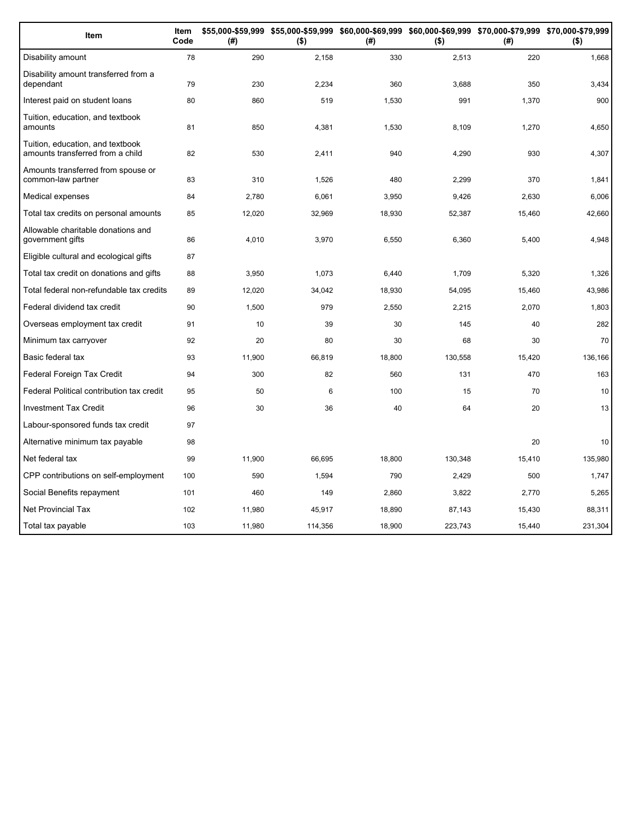| Item                                                                 | Item<br>Code | (#)    | \$55,000-\$59,999 \$55,000-\$59,999 \$60,000-\$69,999 \$60,000-\$69,999 \$70,000-\$79,999 \$70,000-\$79,999<br>$($ \$) | (#)    | $($ \$) | (#)    | $($ \$) |
|----------------------------------------------------------------------|--------------|--------|------------------------------------------------------------------------------------------------------------------------|--------|---------|--------|---------|
| Disability amount                                                    | 78           | 290    | 2,158                                                                                                                  | 330    | 2,513   | 220    | 1,668   |
| Disability amount transferred from a<br>dependant                    | 79           | 230    | 2,234                                                                                                                  | 360    | 3,688   | 350    | 3,434   |
| Interest paid on student loans                                       | 80           | 860    | 519                                                                                                                    | 1,530  | 991     | 1,370  | 900     |
| Tuition, education, and textbook<br>amounts                          | 81           | 850    | 4,381                                                                                                                  | 1,530  | 8,109   | 1,270  | 4,650   |
| Tuition, education, and textbook<br>amounts transferred from a child | 82           | 530    | 2,411                                                                                                                  | 940    | 4,290   | 930    | 4,307   |
| Amounts transferred from spouse or<br>common-law partner             | 83           | 310    | 1,526                                                                                                                  | 480    | 2,299   | 370    | 1,841   |
| Medical expenses                                                     | 84           | 2,780  | 6,061                                                                                                                  | 3,950  | 9,426   | 2,630  | 6,006   |
| Total tax credits on personal amounts                                | 85           | 12,020 | 32,969                                                                                                                 | 18,930 | 52,387  | 15,460 | 42,660  |
| Allowable charitable donations and<br>government gifts               | 86           | 4,010  | 3,970                                                                                                                  | 6,550  | 6,360   | 5,400  | 4,948   |
| Eligible cultural and ecological gifts                               | 87           |        |                                                                                                                        |        |         |        |         |
| Total tax credit on donations and gifts                              | 88           | 3,950  | 1,073                                                                                                                  | 6,440  | 1.709   | 5,320  | 1,326   |
| Total federal non-refundable tax credits                             | 89           | 12,020 | 34,042                                                                                                                 | 18,930 | 54,095  | 15,460 | 43,986  |
| Federal dividend tax credit                                          | 90           | 1,500  | 979                                                                                                                    | 2,550  | 2,215   | 2,070  | 1,803   |
| Overseas employment tax credit                                       | 91           | 10     | 39                                                                                                                     | 30     | 145     | 40     | 282     |
| Minimum tax carryover                                                | 92           | 20     | 80                                                                                                                     | 30     | 68      | 30     | 70      |
| Basic federal tax                                                    | 93           | 11,900 | 66,819                                                                                                                 | 18,800 | 130,558 | 15,420 | 136,166 |
| Federal Foreign Tax Credit                                           | 94           | 300    | 82                                                                                                                     | 560    | 131     | 470    | 163     |
| Federal Political contribution tax credit                            | 95           | 50     | 6                                                                                                                      | 100    | 15      | 70     | 10      |
| <b>Investment Tax Credit</b>                                         | 96           | 30     | 36                                                                                                                     | 40     | 64      | 20     | 13      |
| Labour-sponsored funds tax credit                                    | 97           |        |                                                                                                                        |        |         |        |         |
| Alternative minimum tax payable                                      | 98           |        |                                                                                                                        |        |         | 20     | 10      |
| Net federal tax                                                      | 99           | 11,900 | 66,695                                                                                                                 | 18,800 | 130,348 | 15,410 | 135,980 |
| CPP contributions on self-employment                                 | 100          | 590    | 1,594                                                                                                                  | 790    | 2,429   | 500    | 1,747   |
| Social Benefits repayment                                            | 101          | 460    | 149                                                                                                                    | 2,860  | 3,822   | 2,770  | 5,265   |
| <b>Net Provincial Tax</b>                                            | 102          | 11,980 | 45,917                                                                                                                 | 18,890 | 87,143  | 15,430 | 88,311  |
| Total tax payable                                                    | 103          | 11,980 | 114,356                                                                                                                | 18,900 | 223,743 | 15,440 | 231,304 |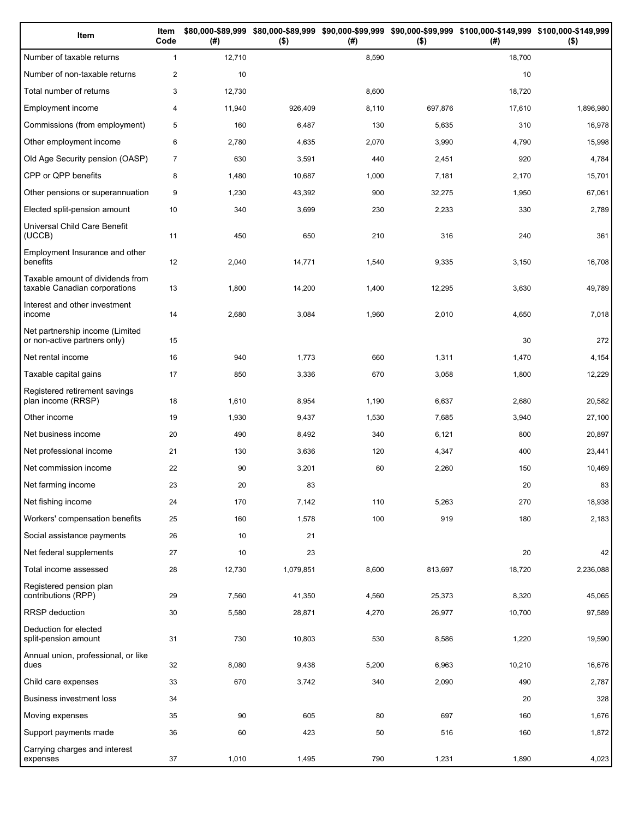| Item                                                              | Item<br>Code   | (#)    | $($ \$)   | (#)   | $($ \$) | \$80,000-\$89,999 \$80,000-\$89,999 \$90,000-\$99,999 \$90,000-\$99,999 \$100,000-\$149,999 \$100,000-\$149,999<br>(# ) | $($ \$)   |
|-------------------------------------------------------------------|----------------|--------|-----------|-------|---------|-------------------------------------------------------------------------------------------------------------------------|-----------|
| Number of taxable returns                                         | $\mathbf{1}$   | 12,710 |           | 8,590 |         | 18,700                                                                                                                  |           |
| Number of non-taxable returns                                     | $\overline{2}$ | 10     |           |       |         | 10                                                                                                                      |           |
| Total number of returns                                           | 3              | 12,730 |           | 8,600 |         | 18,720                                                                                                                  |           |
| Employment income                                                 | 4              | 11,940 | 926,409   | 8,110 | 697,876 | 17,610                                                                                                                  | 1,896,980 |
| Commissions (from employment)                                     | 5              | 160    | 6,487     | 130   | 5,635   | 310                                                                                                                     | 16,978    |
| Other employment income                                           | 6              | 2,780  | 4,635     | 2,070 | 3,990   | 4,790                                                                                                                   | 15,998    |
| Old Age Security pension (OASP)                                   | $\overline{7}$ | 630    | 3,591     | 440   | 2,451   | 920                                                                                                                     | 4,784     |
| CPP or QPP benefits                                               | 8              | 1,480  | 10,687    | 1,000 | 7,181   | 2,170                                                                                                                   | 15,701    |
| Other pensions or superannuation                                  | 9              | 1,230  | 43,392    | 900   | 32,275  | 1,950                                                                                                                   | 67,061    |
| Elected split-pension amount                                      | 10             | 340    | 3,699     | 230   | 2,233   | 330                                                                                                                     | 2,789     |
| Universal Child Care Benefit<br>(UCCB)                            | 11             | 450    | 650       | 210   | 316     | 240                                                                                                                     | 361       |
| Employment Insurance and other<br>benefits                        | 12             | 2,040  | 14,771    | 1,540 | 9,335   | 3,150                                                                                                                   | 16,708    |
| Taxable amount of dividends from<br>taxable Canadian corporations | 13             | 1,800  | 14,200    | 1,400 | 12,295  | 3,630                                                                                                                   | 49,789    |
| Interest and other investment<br>income                           | 14             | 2,680  | 3,084     | 1,960 | 2,010   | 4,650                                                                                                                   | 7,018     |
| Net partnership income (Limited<br>or non-active partners only)   | 15             |        |           |       |         | 30                                                                                                                      | 272       |
| Net rental income                                                 | 16             | 940    | 1,773     | 660   | 1,311   | 1,470                                                                                                                   | 4,154     |
| Taxable capital gains                                             | 17             | 850    | 3,336     | 670   | 3,058   | 1,800                                                                                                                   | 12,229    |
| Registered retirement savings<br>plan income (RRSP)               | 18             | 1,610  | 8,954     | 1,190 | 6,637   | 2,680                                                                                                                   | 20,582    |
| Other income                                                      | 19             | 1,930  | 9,437     | 1,530 | 7,685   | 3,940                                                                                                                   | 27,100    |
| Net business income                                               | 20             | 490    | 8,492     | 340   | 6,121   | 800                                                                                                                     | 20,897    |
| Net professional income                                           | 21             | 130    | 3,636     | 120   | 4,347   | 400                                                                                                                     | 23,441    |
| Net commission income                                             | 22             | 90     | 3,201     | 60    | 2,260   | 150                                                                                                                     | 10,469    |
| Net farming income                                                | 23             | 20     | 83        |       |         | 20                                                                                                                      | 83        |
| Net fishing income                                                | 24             | 170    | 7,142     | 110   | 5,263   | 270                                                                                                                     | 18,938    |
| Workers' compensation benefits                                    | 25             | 160    | 1,578     | 100   | 919     | 180                                                                                                                     | 2,183     |
| Social assistance payments                                        | 26             | 10     | 21        |       |         |                                                                                                                         |           |
| Net federal supplements                                           | 27             | 10     | 23        |       |         | 20                                                                                                                      | 42        |
| Total income assessed                                             | 28             | 12,730 | 1,079,851 | 8,600 | 813,697 | 18,720                                                                                                                  | 2,236,088 |
| Registered pension plan<br>contributions (RPP)                    | 29             | 7,560  | 41,350    | 4,560 | 25,373  | 8,320                                                                                                                   | 45,065    |
| RRSP deduction                                                    | 30             | 5,580  | 28,871    | 4,270 | 26,977  | 10,700                                                                                                                  | 97,589    |
| Deduction for elected<br>split-pension amount                     | 31             | 730    | 10,803    | 530   | 8,586   | 1,220                                                                                                                   | 19,590    |
| Annual union, professional, or like<br>dues                       | 32             | 8,080  | 9,438     | 5,200 | 6,963   | 10,210                                                                                                                  | 16,676    |
| Child care expenses                                               | 33             | 670    | 3,742     | 340   | 2,090   | 490                                                                                                                     | 2,787     |
| <b>Business investment loss</b>                                   | 34             |        |           |       |         | 20                                                                                                                      | 328       |
| Moving expenses                                                   | 35             | 90     | 605       | 80    | 697     | 160                                                                                                                     | 1,676     |
| Support payments made                                             | 36             | 60     | 423       | 50    | 516     | 160                                                                                                                     | 1,872     |
| Carrying charges and interest<br>expenses                         | 37             | 1,010  | 1,495     | 790   | 1,231   | 1,890                                                                                                                   | 4,023     |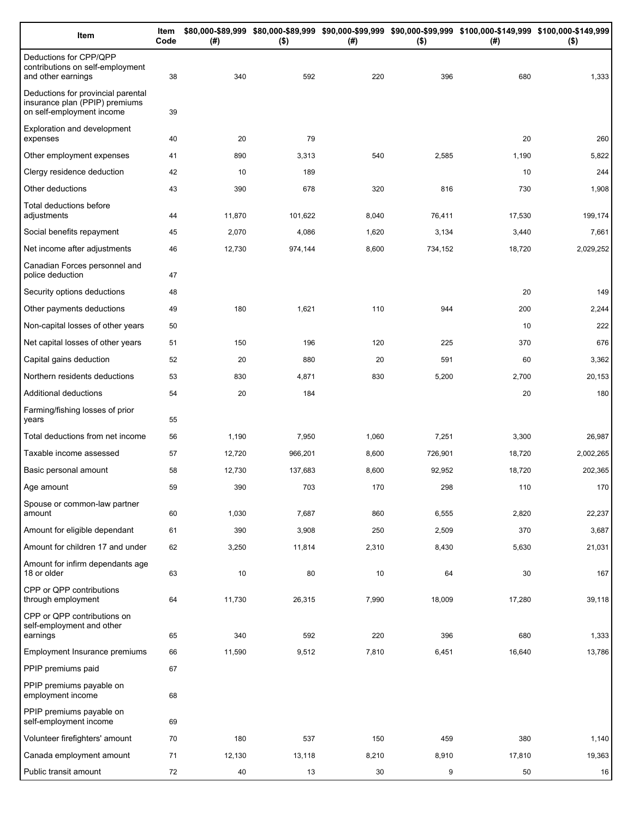| Item                                                                                              | Item<br>Code | (#)           | $($ \$)      | (# )         | $($ \$)      | \$80,000-\$89,999 \$80,000-\$89,999 \$90,000-\$99,999 \$90,000-\$99,999 \$100,000-\$149,999 \$100,000-\$149,999<br>(#) | $($ \$)         |
|---------------------------------------------------------------------------------------------------|--------------|---------------|--------------|--------------|--------------|------------------------------------------------------------------------------------------------------------------------|-----------------|
| Deductions for CPP/QPP<br>contributions on self-employment<br>and other earnings                  | 38           | 340           | 592          | 220          | 396          | 680                                                                                                                    | 1,333           |
| Deductions for provincial parental<br>insurance plan (PPIP) premiums<br>on self-employment income | 39           |               |              |              |              |                                                                                                                        |                 |
| Exploration and development<br>expenses                                                           | 40           | 20            | 79           |              |              | 20                                                                                                                     | 260             |
| Other employment expenses                                                                         | 41           | 890           | 3,313        | 540          | 2,585        | 1,190                                                                                                                  | 5,822           |
| Clergy residence deduction                                                                        | 42           | 10            | 189          |              |              | 10                                                                                                                     | 244             |
| Other deductions                                                                                  | 43           | 390           | 678          | 320          | 816          | 730                                                                                                                    | 1,908           |
| Total deductions before<br>adjustments                                                            | 44           | 11,870        | 101,622      | 8,040        | 76,411       | 17,530                                                                                                                 | 199,174         |
| Social benefits repayment                                                                         | 45           | 2,070         | 4,086        | 1,620        | 3,134        | 3,440                                                                                                                  | 7,661           |
| Net income after adjustments                                                                      | 46           | 12,730        | 974,144      | 8,600        | 734,152      | 18,720                                                                                                                 | 2,029,252       |
| Canadian Forces personnel and<br>police deduction                                                 | 47           |               |              |              |              |                                                                                                                        |                 |
| Security options deductions                                                                       | 48           |               |              |              |              | 20                                                                                                                     | 149             |
| Other payments deductions                                                                         | 49           | 180           | 1,621        | 110          | 944          | 200                                                                                                                    | 2,244           |
| Non-capital losses of other years                                                                 | 50           |               |              |              |              | 10                                                                                                                     | 222             |
| Net capital losses of other years                                                                 | 51           | 150           | 196          | 120          | 225          | 370                                                                                                                    | 676             |
| Capital gains deduction                                                                           | 52           | 20            | 880          | 20           | 591          | 60                                                                                                                     | 3,362           |
| Northern residents deductions                                                                     | 53           | 830           | 4,871        | 830          | 5,200        | 2,700                                                                                                                  | 20,153          |
| Additional deductions                                                                             | 54           | 20            | 184          |              |              | 20                                                                                                                     | 180             |
| Farming/fishing losses of prior<br>years                                                          | 55           |               |              |              |              |                                                                                                                        |                 |
| Total deductions from net income                                                                  | 56           | 1,190         | 7,950        | 1,060        | 7,251        | 3,300                                                                                                                  | 26,987          |
| Taxable income assessed                                                                           | 57           | 12,720        | 966,201      | 8,600        | 726,901      | 18,720                                                                                                                 | 2,002,265       |
| Basic personal amount                                                                             | 58           | 12,730        | 137,683      | 8,600        | 92,952       | 18,720                                                                                                                 | 202,365         |
| Age amount                                                                                        | 59           | 390           | 703          | 170          | 298          | 110                                                                                                                    | 170             |
| Spouse or common-law partner<br>amount                                                            | 60           | 1,030         | 7,687        | 860          | 6,555        | 2,820                                                                                                                  | 22,237          |
| Amount for eligible dependant                                                                     | 61           | 390           | 3,908        | 250          | 2,509        | 370                                                                                                                    | 3,687           |
| Amount for children 17 and under                                                                  | 62           | 3,250         | 11,814       | 2,310        | 8,430        | 5,630                                                                                                                  | 21,031          |
| Amount for infirm dependants age<br>18 or older                                                   | 63           | 10            | 80           | 10           | 64           | 30                                                                                                                     | 167             |
| CPP or QPP contributions<br>through employment                                                    | 64           | 11,730        | 26,315       | 7,990        | 18,009       | 17,280                                                                                                                 | 39,118          |
| CPP or QPP contributions on<br>self-employment and other                                          |              |               |              |              |              |                                                                                                                        |                 |
| earnings<br>Employment Insurance premiums                                                         | 65<br>66     | 340<br>11,590 | 592<br>9,512 | 220<br>7,810 | 396<br>6,451 | 680<br>16,640                                                                                                          | 1,333<br>13,786 |
| PPIP premiums paid                                                                                | 67           |               |              |              |              |                                                                                                                        |                 |
| PPIP premiums payable on                                                                          |              |               |              |              |              |                                                                                                                        |                 |
| employment income                                                                                 | 68           |               |              |              |              |                                                                                                                        |                 |
| PPIP premiums payable on<br>self-employment income                                                | 69           |               |              |              |              |                                                                                                                        |                 |
| Volunteer firefighters' amount                                                                    | 70           | 180           | 537          | 150          | 459          | 380                                                                                                                    | 1,140           |
| Canada employment amount                                                                          | 71           | 12,130        | 13,118       | 8,210        | 8,910        | 17,810                                                                                                                 | 19,363          |
| Public transit amount                                                                             | 72           | 40            | 13           | 30           | 9            | 50                                                                                                                     | 16              |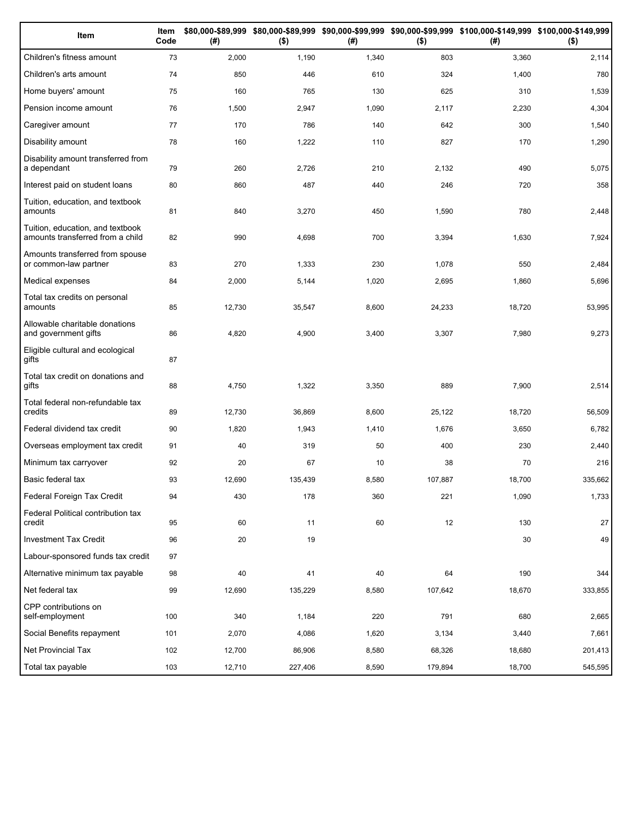| Item                                                                 | Item<br>Code | (# )   | $($ \$) | (#)   | $($ \$) | \$80,000-\$89,999 \$80,000-\$89,999 \$90,000-\$99,999 \$90,000-\$99,999 \$100,000-\$149,999 \$100,000-\$149,999<br>(#) | $($ \$) |
|----------------------------------------------------------------------|--------------|--------|---------|-------|---------|------------------------------------------------------------------------------------------------------------------------|---------|
| Children's fitness amount                                            | 73           | 2,000  | 1,190   | 1,340 | 803     | 3,360                                                                                                                  | 2,114   |
| Children's arts amount                                               | 74           | 850    | 446     | 610   | 324     | 1,400                                                                                                                  | 780     |
| Home buyers' amount                                                  | 75           | 160    | 765     | 130   | 625     | 310                                                                                                                    | 1,539   |
| Pension income amount                                                | 76           | 1,500  | 2,947   | 1,090 | 2,117   | 2,230                                                                                                                  | 4,304   |
| Caregiver amount                                                     | 77           | 170    | 786     | 140   | 642     | 300                                                                                                                    | 1,540   |
| Disability amount                                                    | 78           | 160    | 1,222   | 110   | 827     | 170                                                                                                                    | 1,290   |
| Disability amount transferred from<br>a dependant                    | 79           | 260    | 2,726   | 210   | 2,132   | 490                                                                                                                    | 5,075   |
| Interest paid on student loans                                       | 80           | 860    | 487     | 440   | 246     | 720                                                                                                                    | 358     |
| Tuition, education, and textbook<br>amounts                          | 81           | 840    | 3,270   | 450   | 1,590   | 780                                                                                                                    | 2,448   |
| Tuition, education, and textbook<br>amounts transferred from a child | 82           | 990    | 4,698   | 700   | 3,394   | 1,630                                                                                                                  | 7,924   |
| Amounts transferred from spouse<br>or common-law partner             | 83           | 270    | 1,333   | 230   | 1,078   | 550                                                                                                                    | 2,484   |
| Medical expenses                                                     | 84           | 2,000  | 5,144   | 1,020 | 2,695   | 1,860                                                                                                                  | 5,696   |
| Total tax credits on personal<br>amounts                             | 85           | 12,730 | 35,547  | 8,600 | 24,233  | 18,720                                                                                                                 | 53,995  |
| Allowable charitable donations<br>and government gifts               | 86           | 4,820  | 4,900   | 3,400 | 3,307   | 7,980                                                                                                                  | 9,273   |
| Eligible cultural and ecological<br>gifts                            | 87           |        |         |       |         |                                                                                                                        |         |
| Total tax credit on donations and<br>gifts                           | 88           | 4,750  | 1,322   | 3,350 | 889     | 7,900                                                                                                                  | 2,514   |
| Total federal non-refundable tax<br>credits                          | 89           | 12,730 | 36,869  | 8,600 | 25,122  | 18,720                                                                                                                 | 56,509  |
| Federal dividend tax credit                                          | 90           | 1,820  | 1,943   | 1,410 | 1,676   | 3,650                                                                                                                  | 6,782   |
| Overseas employment tax credit                                       | 91           | 40     | 319     | 50    | 400     | 230                                                                                                                    | 2,440   |
| Minimum tax carryover                                                | 92           | 20     | 67      | 10    | 38      | 70                                                                                                                     | 216     |
| Basic federal tax                                                    | 93           | 12,690 | 135,439 | 8,580 | 107,887 | 18,700                                                                                                                 | 335,662 |
| Federal Foreign Tax Credit                                           | 94           | 430    | 178     | 360   | 221     | 1,090                                                                                                                  | 1,733   |
| Federal Political contribution tax<br>credit                         | 95           | 60     | 11      | 60    | 12      | 130                                                                                                                    | 27      |
| <b>Investment Tax Credit</b>                                         | 96           | 20     | 19      |       |         | 30                                                                                                                     | 49      |
| Labour-sponsored funds tax credit                                    | 97           |        |         |       |         |                                                                                                                        |         |
| Alternative minimum tax payable                                      | 98           | 40     | 41      | 40    | 64      | 190                                                                                                                    | 344     |
| Net federal tax                                                      | 99           | 12,690 | 135,229 | 8,580 | 107,642 | 18,670                                                                                                                 | 333,855 |
| CPP contributions on<br>self-employment                              | 100          | 340    | 1,184   | 220   | 791     | 680                                                                                                                    | 2,665   |
| Social Benefits repayment                                            | 101          | 2,070  | 4,086   | 1,620 | 3,134   | 3,440                                                                                                                  | 7,661   |
| Net Provincial Tax                                                   | 102          | 12,700 | 86,906  | 8,580 | 68,326  | 18,680                                                                                                                 | 201,413 |
| Total tax payable                                                    | 103          | 12,710 | 227,406 | 8,590 | 179,894 | 18,700                                                                                                                 | 545,595 |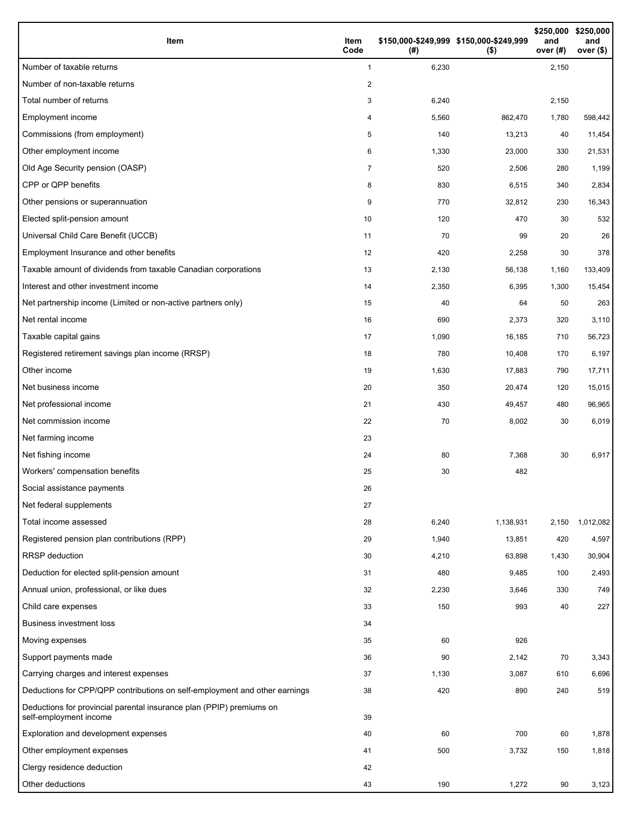| Item                                                                                           | Item<br>Code | (#)   | \$150,000-\$249,999 \$150,000-\$249,999<br>$($ \$) | \$250,000<br>and<br>over $(H)$ | \$250,000<br>and<br>over (\$) |
|------------------------------------------------------------------------------------------------|--------------|-------|----------------------------------------------------|--------------------------------|-------------------------------|
| Number of taxable returns                                                                      | $\mathbf{1}$ | 6,230 |                                                    | 2,150                          |                               |
| Number of non-taxable returns                                                                  | 2            |       |                                                    |                                |                               |
| Total number of returns                                                                        | 3            | 6,240 |                                                    | 2,150                          |                               |
| Employment income                                                                              | 4            | 5,560 | 862,470                                            | 1,780                          | 598,442                       |
| Commissions (from employment)                                                                  | 5            | 140   | 13,213                                             | 40                             | 11,454                        |
| Other employment income                                                                        | 6            | 1,330 | 23,000                                             | 330                            | 21,531                        |
| Old Age Security pension (OASP)                                                                | 7            | 520   | 2,506                                              | 280                            | 1,199                         |
| CPP or QPP benefits                                                                            | 8            | 830   | 6,515                                              | 340                            | 2,834                         |
| Other pensions or superannuation                                                               | 9            | 770   | 32,812                                             | 230                            | 16,343                        |
| Elected split-pension amount                                                                   | 10           | 120   | 470                                                | 30                             | 532                           |
| Universal Child Care Benefit (UCCB)                                                            | 11           | 70    | 99                                                 | 20                             | 26                            |
| Employment Insurance and other benefits                                                        | 12           | 420   | 2,258                                              | 30                             | 378                           |
| Taxable amount of dividends from taxable Canadian corporations                                 | 13           | 2,130 | 56,138                                             | 1,160                          | 133,409                       |
| Interest and other investment income                                                           | 14           | 2,350 | 6,395                                              | 1,300                          | 15,454                        |
| Net partnership income (Limited or non-active partners only)                                   | 15           | 40    | 64                                                 | 50                             | 263                           |
| Net rental income                                                                              | 16           | 690   | 2,373                                              | 320                            | 3,110                         |
| Taxable capital gains                                                                          | 17           | 1,090 | 16,185                                             | 710                            | 56,723                        |
| Registered retirement savings plan income (RRSP)                                               | 18           | 780   | 10,408                                             | 170                            | 6,197                         |
| Other income                                                                                   | 19           | 1,630 | 17,883                                             | 790                            | 17,711                        |
| Net business income                                                                            | 20           | 350   | 20,474                                             | 120                            | 15,015                        |
| Net professional income                                                                        | 21           | 430   | 49,457                                             | 480                            | 96,965                        |
| Net commission income                                                                          | 22           | 70    | 8,002                                              | 30                             | 6,019                         |
| Net farming income                                                                             | 23           |       |                                                    |                                |                               |
| Net fishing income                                                                             | 24           | 80    | 7,368                                              | 30                             | 6,917                         |
| Workers' compensation benefits                                                                 | 25           | 30    | 482                                                |                                |                               |
| Social assistance payments                                                                     | 26           |       |                                                    |                                |                               |
| Net federal supplements                                                                        | 27           |       |                                                    |                                |                               |
| Total income assessed                                                                          | 28           | 6,240 | 1,138,931                                          | 2,150                          | 1,012,082                     |
| Registered pension plan contributions (RPP)                                                    | 29           | 1,940 | 13,851                                             | 420                            | 4,597                         |
| <b>RRSP</b> deduction                                                                          | 30           | 4,210 | 63,898                                             | 1,430                          | 30,904                        |
| Deduction for elected split-pension amount                                                     | 31           | 480   | 9,485                                              | 100                            | 2,493                         |
| Annual union, professional, or like dues                                                       | 32           | 2,230 | 3,646                                              | 330                            | 749                           |
| Child care expenses                                                                            | 33           | 150   | 993                                                | 40                             | 227                           |
| <b>Business investment loss</b>                                                                | 34           |       |                                                    |                                |                               |
| Moving expenses                                                                                | 35           | 60    | 926                                                |                                |                               |
| Support payments made                                                                          | 36           | 90    | 2,142                                              | 70                             | 3,343                         |
| Carrying charges and interest expenses                                                         | 37           | 1,130 | 3,087                                              | 610                            | 6,696                         |
| Deductions for CPP/QPP contributions on self-employment and other earnings                     | 38           | 420   | 890                                                | 240                            | 519                           |
| Deductions for provincial parental insurance plan (PPIP) premiums on<br>self-employment income | 39           |       |                                                    |                                |                               |
| Exploration and development expenses                                                           | 40           | 60    | 700                                                | 60                             | 1,878                         |
| Other employment expenses                                                                      | 41           | 500   | 3,732                                              | 150                            | 1,818                         |
| Clergy residence deduction                                                                     | 42           |       |                                                    |                                |                               |
| Other deductions                                                                               | 43           | 190   | 1,272                                              | 90                             | 3,123                         |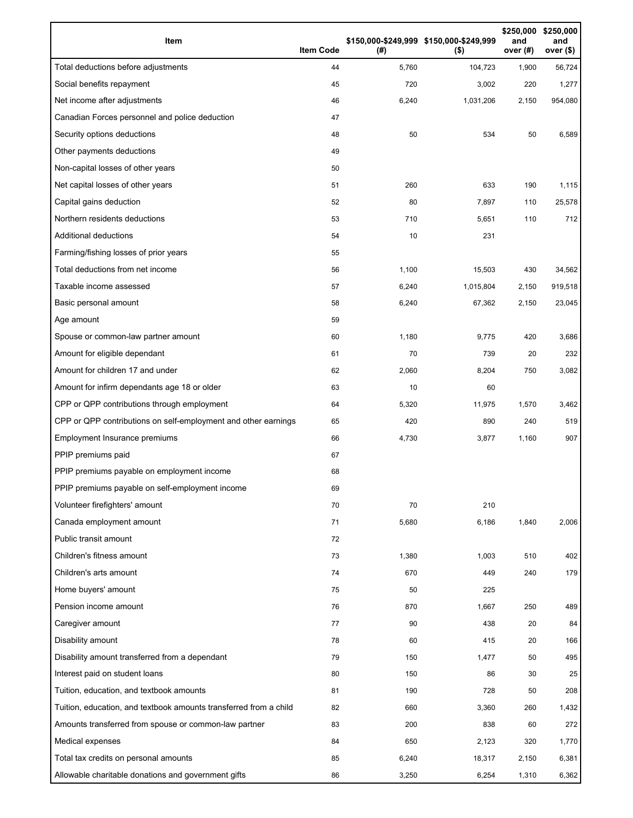| Item                                                              | <b>Item Code</b> | (#)   | \$150,000-\$249,999 \$150,000-\$249,999<br>$($ \$) | \$250,000<br>and<br>over (#) | \$250,000<br>and<br>over $($)$ |
|-------------------------------------------------------------------|------------------|-------|----------------------------------------------------|------------------------------|--------------------------------|
| Total deductions before adjustments                               | 44               | 5,760 | 104,723                                            | 1,900                        | 56,724                         |
| Social benefits repayment                                         | 45               | 720   | 3,002                                              | 220                          | 1,277                          |
| Net income after adjustments                                      | 46               | 6,240 | 1,031,206                                          | 2,150                        | 954,080                        |
| Canadian Forces personnel and police deduction                    | 47               |       |                                                    |                              |                                |
| Security options deductions                                       | 48               | 50    | 534                                                | 50                           | 6,589                          |
| Other payments deductions                                         | 49               |       |                                                    |                              |                                |
| Non-capital losses of other years                                 | 50               |       |                                                    |                              |                                |
| Net capital losses of other years                                 | 51               | 260   | 633                                                | 190                          | 1,115                          |
| Capital gains deduction                                           | 52               | 80    | 7,897                                              | 110                          | 25,578                         |
| Northern residents deductions                                     | 53               | 710   | 5,651                                              | 110                          | 712                            |
| Additional deductions                                             | 54               | 10    | 231                                                |                              |                                |
| Farming/fishing losses of prior years                             | 55               |       |                                                    |                              |                                |
| Total deductions from net income                                  | 56               | 1,100 | 15,503                                             | 430                          | 34,562                         |
| Taxable income assessed                                           | 57               | 6,240 | 1,015,804                                          | 2,150                        | 919,518                        |
| Basic personal amount                                             | 58               | 6,240 | 67,362                                             | 2,150                        | 23,045                         |
| Age amount                                                        | 59               |       |                                                    |                              |                                |
| Spouse or common-law partner amount                               | 60               | 1,180 | 9,775                                              | 420                          | 3,686                          |
| Amount for eligible dependant                                     | 61               | 70    | 739                                                | 20                           | 232                            |
| Amount for children 17 and under                                  | 62               | 2,060 | 8,204                                              | 750                          | 3,082                          |
| Amount for infirm dependants age 18 or older                      | 63               | 10    | 60                                                 |                              |                                |
| CPP or QPP contributions through employment                       | 64               | 5,320 | 11,975                                             | 1,570                        | 3,462                          |
| CPP or QPP contributions on self-employment and other earnings    | 65               | 420   | 890                                                | 240                          | 519                            |
| Employment Insurance premiums                                     | 66               | 4,730 | 3,877                                              | 1,160                        | 907                            |
| PPIP premiums paid                                                | 67               |       |                                                    |                              |                                |
| PPIP premiums payable on employment income                        | 68               |       |                                                    |                              |                                |
| PPIP premiums payable on self-employment income                   | 69               |       |                                                    |                              |                                |
| Volunteer firefighters' amount                                    | 70               | 70    | 210                                                |                              |                                |
| Canada employment amount                                          | 71               | 5,680 | 6,186                                              | 1,840                        | 2,006                          |
| Public transit amount                                             | 72               |       |                                                    |                              |                                |
| Children's fitness amount                                         | 73               | 1,380 | 1,003                                              | 510                          | 402                            |
| Children's arts amount                                            | 74               | 670   | 449                                                | 240                          | 179                            |
| Home buyers' amount                                               | 75               | 50    | 225                                                |                              |                                |
| Pension income amount                                             | 76               | 870   | 1,667                                              | 250                          | 489                            |
| Caregiver amount                                                  | 77               | 90    | 438                                                | 20                           | 84                             |
| Disability amount                                                 | 78               | 60    | 415                                                | 20                           | 166                            |
| Disability amount transferred from a dependant                    | 79               | 150   | 1,477                                              | 50                           | 495                            |
| Interest paid on student loans                                    | 80               | 150   | 86                                                 | 30                           | 25                             |
| Tuition, education, and textbook amounts                          | 81               | 190   | 728                                                | 50                           | 208                            |
| Tuition, education, and textbook amounts transferred from a child | 82               | 660   | 3,360                                              | 260                          | 1,432                          |
| Amounts transferred from spouse or common-law partner             | 83               | 200   | 838                                                | 60                           | 272                            |
| Medical expenses                                                  | 84               | 650   | 2,123                                              | 320                          | 1,770                          |
| Total tax credits on personal amounts                             | 85               | 6,240 | 18,317                                             | 2,150                        | 6,381                          |
| Allowable charitable donations and government gifts               | 86               | 3,250 | 6,254                                              | 1,310                        | 6,362                          |